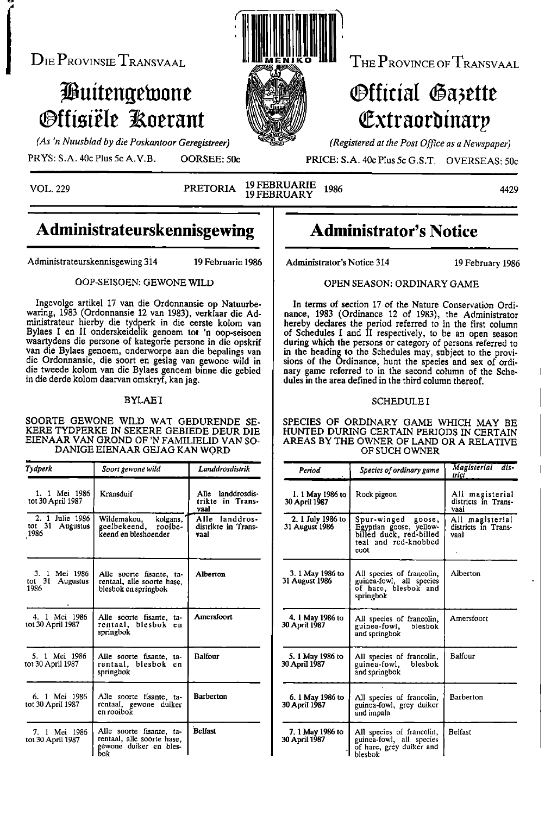$D$ IE  $P_{\text{ROVINSIE}}$   $T_{\text{RANSVAAL}}$   $\blacksquare$   $\blacksquare$   $\blacksquare$   $\blacksquare$   $\blacksquare$   $T_{\text{HE}}$   $P_{\text{ROVINCE OF}}$   $T_{\text{RANSVAAL}}$ 

# Tiluitengebiont i1.171,4 <sup>k</sup> **Offisiële Roerant**

4.77a. his "N  $\sim$   $\sim$ .(il !<br>!Ilico aih litI)  $\mathbb{Z}$ **Ar - 1980** 

# Official Gazette 114\_(. (Extraorbinarp

(As 'n Nuusblad by die Poskantoor Geregistreer) MAGI (Registered at the Post Office as a Newspaper)

PRYS: S.A. 40c Plus 5c A.V.B. OORSEE: 50c PRICE: S.A. 40c Plus 5c G.S.T. OVERSEAS: 50c

VOL. <sup>229</sup> PRETORIA <sup>19</sup> FEBRUARIE <sup>1986</sup> <sup>4429</sup> <sup>19</sup> FEBRUARY

## Administrateurskennisgewing | Administrator's Notice

Administrateurskennisgewing 314 19 Februarie 1986 | Administrator's Notice 314 19 February 1986

Ingevolge artikel 17 van die Ordonnansie op Natuurbewaring, <sup>1983</sup> (Ordonnansie <sup>12</sup> van 1983), verklaar die Ad- nance, <sup>1983</sup> (Ordinance <sup>12</sup> of 1983), the Administrator ministrateur hierby die tydperk in die eerste kolom van hereby declares the period referred to in the first column Bylaes I en II onderskeidelik genoem tot 'n oop-seisoen of Schedules I and II respectively, to be an open s waartydens die persone of kategorie persone in die opskrif van die Bylaes genoem, onderworpe aan die bepalings van van die Bylaes genoem, onderworpe aan die bepalings van in the heading to the Schedules may, subject to the provi-<br>die Ordonnansie, die soort en geslag van gewone wild in in the heading to the Schedules may, subject to the die tweede kolom van die Bylaes genoem binne die gebied | nary game referred to in the second column of the Schein die derde kolom daarvan omskryf, kan jag.  $\vert$  dules in the area defined in the third column thereof.

SOORTE GEWONE WILD WAT GEDURENDE SE- SPECIES OF ORDINARY GAME WHICH MAY BE KERE TYDPERKE IN SEKERE GEBIEDE DEUR DIE | HUNTED DURING CERTAIN PERIODS IN CERTAIN KERE TYDPERKE IN SEKERE GEBIEDE DEUR DIE | HUNTED DURING CERTAIN PERIODS IN CERTAIN<br>EIENAAR VAN GROND OF 'N FAMILIELID VAN SO- | AREAS BY THE OWNER OF LAND OR A RELATIVE DANIGE EIENAAR GEJAG KAN WORD

| Tydperk                                                 | Soort gewone wild                                                                       | Landdrosdistrik                               | Period                                    | Species of ordinary game                                                                                    | Magisterial dis-<br>trict                      |
|---------------------------------------------------------|-----------------------------------------------------------------------------------------|-----------------------------------------------|-------------------------------------------|-------------------------------------------------------------------------------------------------------------|------------------------------------------------|
| 1. 1 Mei 1986<br>tot 30 April 1987                      | Kransduif                                                                               | Alle landdrosdis-<br>trikte in Trans-<br>vaal | 1. 1 May 1986 to<br>30 April 1987         | Rock pigeon                                                                                                 | All magisterial<br>districts in Trans-<br>vaal |
| 2. 1 Julie 1986<br>tot 31 Augustus<br>1986              | Wildemakou,<br>kolgans.<br>geelbekeend,<br>rooibe-<br>keend en bleshoender              | Alle landdros-<br>distrikte in Trans-<br>vaal | 2. 1 July 1986 to<br>31 August 1986       | Spur-winged<br>goose,<br>Egyptian goose, yellow-<br>billed duck, red-billed<br>teal and red-knobbed<br>coot | All magisterial<br>districts in Trans-<br>vaal |
| Mci 1986<br>3. 1<br>tot $31$<br><b>Augustus</b><br>1986 | Alle soorte fisante, ta-<br>rentaal, alle soorte hase.<br>blesbok en springbok          | Alberton                                      | 3. 1 May 1986 to<br><b>31 August 1986</b> | All species of francolin,<br>guinea-fowl, all species<br>of hare, blesbok and<br>springbok                  | Alberton                                       |
| 4. 1 Mei 1986<br>tot 30 April 1987                      | Alle soorte fisante, ta-<br>rentaal, blesbok en<br>springbok                            | Amersfoort                                    | 4. 1 May 1986 to<br><b>30 April 1987</b>  | All species of francolin.<br>guinea-fowl.<br>blesbok<br>and springbok                                       | Amersfoort                                     |
| 5. 1 Mei 1986<br>tot 30 April 1987                      | Alle soorte fisante, ta-<br>rentaal, blesbok en<br>springbok                            | <b>Balfour</b>                                | 5. 1 May 1986 to<br>30 April 1987         | All species of francolin,<br>guinea-fowl,<br>blesbok<br>and springbok                                       | Balfour                                        |
| 6. 1 Mei 1986<br>tot 30 April 1987                      | Alle soorte fisante, ta-<br>rentaal, gewone duiker<br>en rooibok                        | <b>Barberton</b>                              | 6. 1 May 1986 to<br>30 April 1987         | All species of francolin,<br>guinea-fowl, grey duiker<br>and impala                                         | Barberton                                      |
| 7. 1 Mei 1986<br>tot 30 April 1987                      | Alle soorte fisante, ta-<br>rentaal, alle soorte hase.<br>gewone duiker en bles-<br>bok | <b>Belfast</b>                                | 7. 1 May 1986 to<br>30 April 1987         | All species of francolin,<br>guinea-fowl, all species<br>of hare, grey duiker and<br>blesbok                | Belfast                                        |

## OOP-SEISOEN: GEWONE WILD **DEER** SEASON: ORDINARY GAME

In terms of section 17 of the Nature Conservation Ordiof Schedules I and II respectively, to be an open season sions of the Ordinance, hunt the species and sex of ordinary game referred to in the second column of the Sche-

#### BYLAET SCHEDULE I

AREAS BY THE OWNER OF LAND OR A RELATIVE<br>OF SUCH OWNER

| lperk                                | Soort gewone wild                                                                       | Landdrosdistrik                                  | Period                                    | Species of ordinary game                                                                                    | Magisterial dis-<br>trici                      |
|--------------------------------------|-----------------------------------------------------------------------------------------|--------------------------------------------------|-------------------------------------------|-------------------------------------------------------------------------------------------------------------|------------------------------------------------|
| 1. 1 Mei 1986<br>: 30 April 1987     | Kransduif                                                                               | landdrosdis-<br>Alle<br>trikte in Trans-<br>vaal | 1. 1 May 1986 to<br>30 April 1987         | Rock pigeon                                                                                                 | All magisterial<br>districts in Trans-<br>vaal |
| 2. 1 Julie 1986<br>31 Augustus<br>36 | Wildemakou.<br>kolgans.<br>rooibe-<br>geelbekeend,<br>keend en bleshoender              | Alle landdros-<br>distrikte in Trans-<br>vaal    | 2. 1 July 1986 to<br>31 August 1986       | Spur-winged<br>goose,<br>Egyptian goose, yellow-<br>billed duck, red-billed<br>teal and red-knobbed<br>coot | All magisterial<br>districts in Trans-<br>vaal |
| 3. 1 Mei 1986<br>31 Augustus<br>86   | Alle soorte fisante, ta-<br>rentaal, alle soorte hase.<br>blesbok en springbok          | Alberton                                         | 3. 1 May 1986 to<br><b>31 August 1986</b> | All species of francolin,<br>guinea-fowl, all species<br>of hare, blesbok and<br>springbok                  | Alberton                                       |
| . 1 Mei 1986<br>30 April 1987        | Alle soorte fisante, ta-<br>rentaal, blesbok en<br>springbok                            | Amersfoort                                       | 4. 1 May 1986 to<br><b>30 April 1987</b>  | All species of francolin.<br>blesbok<br>guinea-fowl,<br>and springbok                                       | Amersfoort                                     |
| . 1 Mei 1986<br>30 April 1987        | Alle soorte fisante, ta-<br>rentaal, blesbok en<br>springbok                            | <b>Balfour</b>                                   | 5. 1 May 1986 to<br>30 April 1987         | All species of francolin,<br>blesbok<br>guinea-fowl,<br>and springbok                                       | Balfour                                        |
| . 1 Mei 1986<br>30 April 1987        | Alle soorte fisante, ta-<br>rentaal, gewone duiker<br>en rooibok                        | <b>Barberton</b>                                 | 6. 1 May 1986 to<br>30 April 1987         | All species of francolin,<br>guinea-fowl, grey duiker<br>and impala                                         | Barberton                                      |
| 1 Mei 1986<br>30 April 1987          | Alle soorte fisante, ta-<br>rentaal, alle soorte hase.<br>gewone duiker en bles-<br>bok | <b>Belfast</b>                                   | 7. 1 May 1986 to<br>30 April 1987         | All species of francolin,<br>guinea-fowl, all species<br>of hare, grey duiker and<br>blesbok                | <b>Belfast</b>                                 |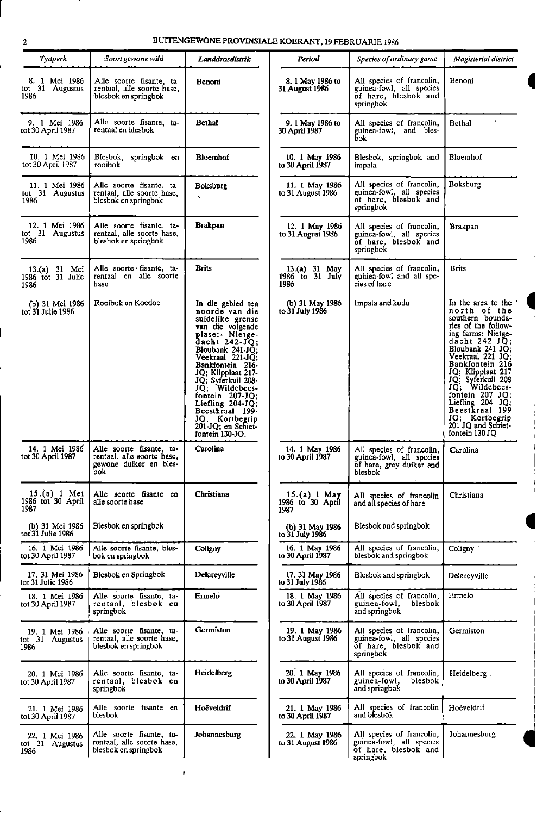I

## 2 BUITENGEWONE PROVINSIALE KOERANT, 19 FEBRUARIE 1986

| Tydperk                                    | Soort gewone wild                                                                       | Landdrosdistrik                                                                                                                                                                                                                                                                                                                                                          | Period                                     | Species of ordinary game                                                                                  | Magisterial district                                                                                                                                                                                                                                                                                                                                             |
|--------------------------------------------|-----------------------------------------------------------------------------------------|--------------------------------------------------------------------------------------------------------------------------------------------------------------------------------------------------------------------------------------------------------------------------------------------------------------------------------------------------------------------------|--------------------------------------------|-----------------------------------------------------------------------------------------------------------|------------------------------------------------------------------------------------------------------------------------------------------------------------------------------------------------------------------------------------------------------------------------------------------------------------------------------------------------------------------|
| 8. 1 Mei 1986<br>tot 31 Augustus<br>1986   | Alle soorte fisante, ta-<br>rentaal, alle soorte hase,<br>blesbok en springbok          | Benoni                                                                                                                                                                                                                                                                                                                                                                   | 8. 1 May 1986 to<br>31 August 1986         | All species of francolin,<br>guinea-fowl, all species<br>of hare, blesbok and<br>springbok                | Benoni                                                                                                                                                                                                                                                                                                                                                           |
| 9. 1 Mei 1986<br>tot 30 April 1987         | Alle soorte fisante, ta-<br>rentaal en blesbok                                          | <b>Bethal</b>                                                                                                                                                                                                                                                                                                                                                            | 9. 1 May 1986 to<br>30 April 1987          | All species of francolin,<br>guinea-fowl, and bles-<br>Бoк                                                | <b>Bethal</b>                                                                                                                                                                                                                                                                                                                                                    |
| 10. 1 Mei 1986<br>tot 30 April 1987        | Blesbok, springbok en<br>rooibok                                                        | <b>Bloemhof</b>                                                                                                                                                                                                                                                                                                                                                          | 10. 1 May 1986<br>to 30 April 1987         | Blesbok, springbok and<br>impala                                                                          | Bloemhof                                                                                                                                                                                                                                                                                                                                                         |
| 11. 1 Mei 1986<br>tot 31 Augustus<br>1986  | Alle soorte fisante, ta-<br>rentaal, alle soorte hase,<br>blesbok en springbok          | <b>Boksburg</b><br>$\overline{\phantom{a}}$                                                                                                                                                                                                                                                                                                                              | 11. 1 May 1986<br>to 31 August 1986        | All species of francolin,<br>guinea-fowl, all species<br>of hare, blesbok and<br>springbok                | Boksburg                                                                                                                                                                                                                                                                                                                                                         |
| 12. 1 Mei 1986<br>tot 31 Augustus<br>1986  | Alle soorte fisante, ta-<br>rentaal, alle soorte hase,<br>blesbok en springbok          | <b>Brakpan</b>                                                                                                                                                                                                                                                                                                                                                           | 12. 1 May 1986<br>to 31 August 1986        | All species of francolin,<br>guinea-fowl, all species<br>of hare, blesbok and<br>springbok                | Brakpan                                                                                                                                                                                                                                                                                                                                                          |
| 13.(a) 31 Mei<br>1986 tot 31 Julie<br>1986 | Alle soorte fisante, ta-<br>rentaal en alle soorte<br>hase                              | <b>Brits</b>                                                                                                                                                                                                                                                                                                                                                             | $13.(a) 31$ May<br>1986 to 31 July<br>1986 | All species of francolin,<br>guinea-fowl and all spe-<br>cies of hare                                     | Brits                                                                                                                                                                                                                                                                                                                                                            |
| (b) 31 Mei 1986<br>tot 31 Julie 1986       | Rooibok en Koedoe                                                                       | In die gebied ten<br>noorde van die<br>suidelike grense<br>van die volgende<br>plase: Nietge-<br>dacht $242-JQ$ ;<br>Bloubank 241-JQ;<br>Veekraal 221-JQ;<br>Bankfontein 216-<br>JQ; Klipplaat 217-<br>JQ; Syferkuil 208-<br>JO; Wildebees-<br>fontein $207 - JQ$ ;<br>Liefling $204-JQ$ ;<br>Beestkraal 199-<br>JQ; Kortbegrip<br>201-JQ; en Schiet-<br>fontein 130-JQ. | (b) 31 May 1986<br>to 31 July 1986         | Impala and kudu                                                                                           | In the area to the<br>north of the<br>southern bounda-<br>ries of the follow-<br>ing farms: Nietge-<br>dacht $242$ JQ;<br>Bloubank 241 JQ;<br>Veekraal 221 JO:<br>Bankfontein 216<br>JQ; Klipplaat 217<br>JQ; Syferkuil 208<br>JQ; Wildebees-<br>fontein 207 JQ:<br>Liefling 204 JQ;<br>Beestkraal 199<br>JQ; Kortbegrip<br>201 JQ and Schief-<br>fontein 130 JQ |
| 14, 1 Mei 1986<br>tot 30 April 1987        | Alle soorte fisante, ta-<br>rentaal, alle soorte hase,<br>gewone duiker en bles-<br>bok | Carolina                                                                                                                                                                                                                                                                                                                                                                 | 14. 1 May 1986<br>to 30 April 1987         | All species of francolin,<br>guinea-fowl, all species<br>of hare, grey duiker and<br>blesbok <sup>–</sup> | Carolina                                                                                                                                                                                                                                                                                                                                                         |
| 15.(a) 1 Mei<br>1986 tot 30 April<br>1987  | Alle soorte fisante en<br>alle soorte hase                                              | Christiana                                                                                                                                                                                                                                                                                                                                                               | 15.(a) 1 May<br>1986 to 30 April<br>1987   | All species of francolin<br>and all species of hare                                                       | Christiana                                                                                                                                                                                                                                                                                                                                                       |
| (b) 31 Mei 1986<br>tot 31 Julie 1986       | Blesbok en springbok                                                                    |                                                                                                                                                                                                                                                                                                                                                                          | (b) 31 May 1986<br>to 31 July 1986         | Blesbok and springbok                                                                                     |                                                                                                                                                                                                                                                                                                                                                                  |
| 16. 1 Mei 1986<br>tot 30 April 1987        | Alle soorte fisante, bles-<br>bok en springbok                                          | Coligny                                                                                                                                                                                                                                                                                                                                                                  | 16. 1 May 1986<br>to 30 April 1987         | All species of francolin,<br>blesbok and springbok                                                        | Coligny '                                                                                                                                                                                                                                                                                                                                                        |
| 17, 31 Mei 1986<br>tot 31 Julie 1986       | Blesbok en Springbok                                                                    | Delareyville                                                                                                                                                                                                                                                                                                                                                             | 17, 31 May 1986<br>to 31 July 1986         | Blesbok and springbok                                                                                     | Delarevville                                                                                                                                                                                                                                                                                                                                                     |
| 18. 1 Mei 1986<br>tot 30 April 1987        | Alle soorte fisante, ta-<br>rentaal, blesbok en<br>springbok                            | Ermelo                                                                                                                                                                                                                                                                                                                                                                   | 18. 1 May 1986<br>to 30 April 1987         | All species of francolin.<br>guinea-fowl,<br>blesbok<br>and springbok                                     | Ermelo                                                                                                                                                                                                                                                                                                                                                           |
| 19. 1 Mei 1986<br>tot 31 Augustus<br>1986  | Alle soorte fisante, ta-<br>rentaal, alle soorte hase,<br>blesbok en springbok          | Germiston                                                                                                                                                                                                                                                                                                                                                                | 19. 1 May 1986<br>to 31 August 1986        | All species of francolin,<br>guinea-fowl, all species<br>of hare, blesbok and<br>springbok                | Germiston                                                                                                                                                                                                                                                                                                                                                        |
| 20. 1 Mei 1986<br>tot 30 April 1987        | Alle soorte fisante, ta-<br>rentaal, blesbok en<br>springbok                            | Heidelberg                                                                                                                                                                                                                                                                                                                                                               | 20. 1 May 1986<br>to 30 April 1987         | All species of francolin,<br>guinea-fowl,<br>blesbok<br>and springbok                                     | Heidelberg.                                                                                                                                                                                                                                                                                                                                                      |
| 21. 1 Mei 1986<br>tot 30 April 1987        | Alle soorte fisante en<br>blesbok                                                       | Hoëveldrif                                                                                                                                                                                                                                                                                                                                                               | 21. 1 May 1986<br>to 30 April 1987         | All species of francolin<br>and blesbok                                                                   | Hoëveldrif                                                                                                                                                                                                                                                                                                                                                       |
| 22. 1 Mei 1986<br>tot 31 Augustus<br>1986  | Alle soorte fisante, ta-<br>rentaal, alle soorte hase,<br>blesbok en springbok          | Johannesburg                                                                                                                                                                                                                                                                                                                                                             | 22. 1 May 1986<br>to 31 August 1986        | All species of francolin,<br>guinea-fowl, all species<br>of hare, blesbok and<br>springbok                | Johannesburg                                                                                                                                                                                                                                                                                                                                                     |

 $\bar{\mathbf{r}}$ 

 $\bar{1}$ 

 $\mathbf{r}$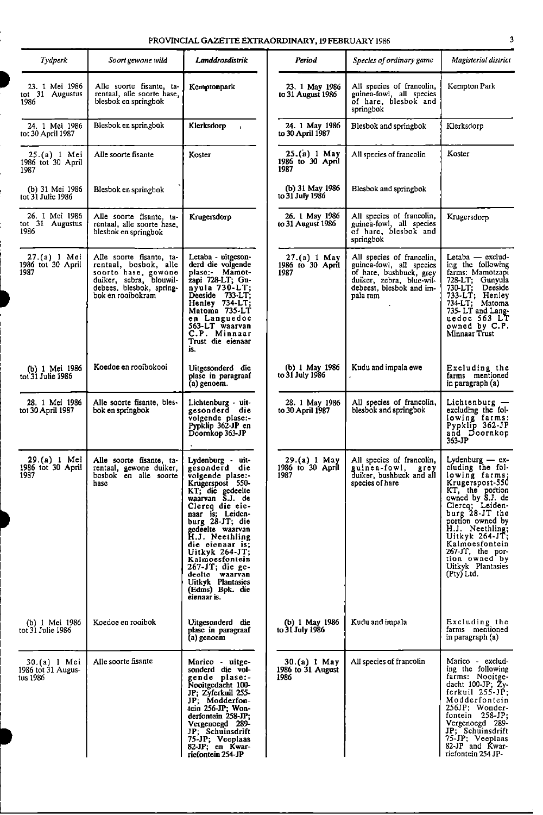| PROVINCIAL GAZETTE EXTRAORDINARY, 19 FEBRUARY 1986 |  |
|----------------------------------------------------|--|
|----------------------------------------------------|--|

| <b>Tydperk</b>                                 | Soort gewone wild                                                                                                                                    | Landdrosdistrik                                                                                                                                                                                                                                                                                                                                                           | Period                                    | Species of ordinary game                                                                                                                             | Magisterial district                                                                                                                                                                                                                                                                                        |
|------------------------------------------------|------------------------------------------------------------------------------------------------------------------------------------------------------|---------------------------------------------------------------------------------------------------------------------------------------------------------------------------------------------------------------------------------------------------------------------------------------------------------------------------------------------------------------------------|-------------------------------------------|------------------------------------------------------------------------------------------------------------------------------------------------------|-------------------------------------------------------------------------------------------------------------------------------------------------------------------------------------------------------------------------------------------------------------------------------------------------------------|
| 23. 1 Mei 1986<br>tot 31 Augustus<br>1986      | Alle soorte fisante, ta-<br>rentaal, alle soorte hase,<br>blesbok en springbok                                                                       | Kemptonpark                                                                                                                                                                                                                                                                                                                                                               | 23. 1 May 1986<br>to 31 August 1986       | All species of francolin,<br>guinea-fowl, all species<br>of hare, blesbok and<br>springbok                                                           | Kempton Park                                                                                                                                                                                                                                                                                                |
| 24. 1 Mei 1986<br>tot 30 April 1987            | Blesbok en springbok                                                                                                                                 | Klerksdorp<br>$\mathbf{I}$                                                                                                                                                                                                                                                                                                                                                | 24. 1 May 1986<br>to 30 April 1987        | Blesbok and springbok                                                                                                                                | Klerksdorp                                                                                                                                                                                                                                                                                                  |
| $25.(a) 1$ Mei<br>1986 tot 30 April<br>1987    | Alle soorte fisante                                                                                                                                  | Koster                                                                                                                                                                                                                                                                                                                                                                    | 25.(a) 1 May<br>1986 to 30 April<br>1987  | All species of francolin                                                                                                                             | Koster                                                                                                                                                                                                                                                                                                      |
| (b) 31 Mei 1986<br>tot 31 Julie 1986           | Blesbok en springbok                                                                                                                                 |                                                                                                                                                                                                                                                                                                                                                                           | (b) 31 May 1986<br>to 31 July 1986        | Blesbok and springbok                                                                                                                                |                                                                                                                                                                                                                                                                                                             |
| 26. 1 Mei 1986<br>tot 31 Augustus<br>1986      | Alle soorte fisante, ta-<br>rentaal, alle soorte hase,<br>blesbok en springbok                                                                       | Krugersdorp                                                                                                                                                                                                                                                                                                                                                               | 26. 1 May 1986<br>to 31 August 1986       | All species of francolin,<br>guinea-fowl, all species<br>of hare, blesbok and<br>springbok                                                           | Krugersdorp                                                                                                                                                                                                                                                                                                 |
| 27.(a) 1 Mei<br>1986 tot 30 April<br>1987      | Alle soorte fisante, ta-<br>rentaal, bosbok, alle<br>soorte hase, gewone<br>duiker, sebra, blouwil-<br>debees, blesbok, spring-<br>bok en rooibokram | Letaba - uitgeson-<br>derd die volgende<br>plase:- Mamot-<br>zapi 728-LT; Gu-<br>$n$ yula 730-LT;<br>Deeside 733-LT;<br>Henley 734-LT;<br>Matoma 735-LT<br>en Languedoc<br>563-LT waarvan<br>C.P. Minnaar<br>Trust die eienaar<br>is.                                                                                                                                     | 27.(a) 1 May<br>1986 to 30 April<br>1987  | All species of francolin,<br>guinea-fowl, all species<br>of hare, bushbuck, grey<br>duiker, zebra, blue-wil-<br>debeest, blesbok and im-<br>pala ram | Letaba — exclud-<br>ing the following<br>farms: Mamotzapi<br>728-LT; Gunyula<br>$730 - LT;$<br>Deeside<br>733-LT; Henley<br>734-LT; Matoma<br>735-LT and Lang-<br>uedoc 563 LT<br>owned by C.P.<br>Minnaar Trust                                                                                            |
| (b) 1 Mei 1986<br>tot 31 Julie 1986            | Koedoe en rooibokooi                                                                                                                                 | Uitgesonderd die<br>plase in paragraaf<br>(a) genoem.                                                                                                                                                                                                                                                                                                                     | (b) 1 May 1986<br>to 31 July 1986         | Kudu and impala ewe                                                                                                                                  | Excluding the<br>farms mentioned<br>in paragraph (a)                                                                                                                                                                                                                                                        |
| 28. 1 Mei 1986<br>tot 30 April 1987            | Alle soorte fisante, bles-<br>bok en springbok                                                                                                       | Lichtenburg - uit-<br>gesonderd die<br>volgende plase:-<br>Pypklip 362-JP en<br>Doomkop 363-JP                                                                                                                                                                                                                                                                            | 28. 1 May 1986<br>to 30 April 1987        | All species of francolin,<br>blesbok and springbok                                                                                                   | Lichtenburg -<br>excluding the fol-<br>lowing farms:<br>Pypklip 362-JP<br>and Doornkop<br>363-JP                                                                                                                                                                                                            |
| 29.(a) 1 Mei<br>1986 tot 30 April<br>1987      | Alle soorte fisante, ta-<br>rentaal, gewone duiker,<br>bosbok en alle soorte<br>hasc                                                                 | Lydenburg - uit-<br>gesonderd die<br>volgende plase:-<br>Krugerspost 550-<br>KT; die gedeelte<br>waarvan S.J. de<br>Clercq die eic-<br>naar is; Leiden-<br>burg 28-JT; die<br>gedeelte waarvan<br>H.J. Neethling<br>die eienaar is;<br>Uitkyk $264$ -JT;<br>Kalmoesfontein<br>$267-JT$ ; die ge-<br>declie waarvan<br>Uitkyk Plantasies<br>(Edms) Bpk. die<br>eienaar is. | 29.(a) 1 May<br>1986 to 30 April<br>1987  | All species of francolin,<br>guinea fowl,<br>grey<br>duiker, bushbuck and all<br>species of hare                                                     | Lydenburg $-$ ex-<br>cluding the fol-<br>lowing farms;<br>Krugerspost-550<br>KT, the portion<br>owned by S.J. de<br>Clercq; Leiden-<br>burg 28-JT the<br>portion owned by<br>H.J. Neethling;<br>Uitkyk $264$ -JT;<br>Kalmoesfontein<br>267-JT, the por-<br>tion owned by<br>Uitkyk Plantasies<br>(Pty) Ltd. |
| (b) 1 Mei 1986<br>tot 31 Julie 1986            | Koedoe en rooibok                                                                                                                                    | Uitgesonderd die<br>plase in paragraaf<br>(a) genoem                                                                                                                                                                                                                                                                                                                      | (b) 1 May 1986<br>to 31 July 1986         | Kudu and impala                                                                                                                                      | Excluding the<br>farms mentioned<br>in paragraph (a)                                                                                                                                                                                                                                                        |
| 30.(a) 1 Mei<br>1986 tot 31 Augus-<br>tus 1986 | Alle soorte fisante                                                                                                                                  | Marico - uitge-<br>sonderd die vol-<br>gende plase:-<br>Nooitgedacht 100-<br>JP; Zyferkuil 255-<br>JP; Modderfon-<br>tein 256-JP; Won-<br>derfontein 258-JP;<br>Vergenoegd 289-<br>JP; Schuinsdrift<br>75-JP; Veeplaas<br>82-JP; en Kwar-<br>riefontein 254-JP                                                                                                            | 30.(a) 1 May<br>1986 to 31 August<br>1986 | All species of francolin                                                                                                                             | Marico - exclud-<br>ing the following<br>farms: Nooitge-<br>dacht 100-JP; Žy-<br>ferkuil 255-JP;<br>Modderfontein<br>256JP; Wonder-<br>fontein $258-JP$ ;<br>Vergenoegd 289-<br>JP; Schuinsdrift<br>75-JP; Veeplaas<br>82-JP and Kwar-<br>riefontein 254 JP-                                                |

7

i

i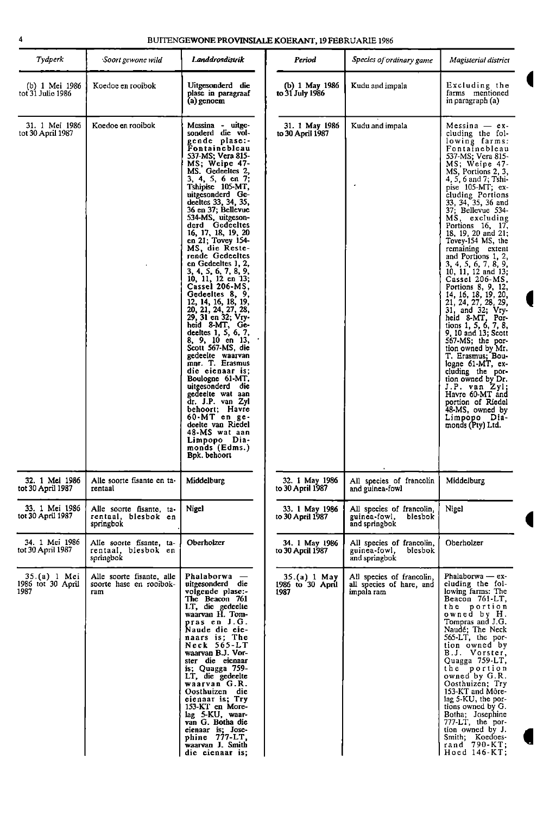| Tydperk                                   | Soort gewone wild                                            | Landdrosdistrik                                                                                                                                                                                                                                                                                                                                                                                                                                                                                                                                                                                                                                                                                                                                                                                                                                                                                   | Period                                   | Species of ordinary game                                              | Magisterial district                                                                                                                                                                                                                                                                                                                                                                                                                                                                                                                                                                                                                                                                                                                                                                                                                      |
|-------------------------------------------|--------------------------------------------------------------|---------------------------------------------------------------------------------------------------------------------------------------------------------------------------------------------------------------------------------------------------------------------------------------------------------------------------------------------------------------------------------------------------------------------------------------------------------------------------------------------------------------------------------------------------------------------------------------------------------------------------------------------------------------------------------------------------------------------------------------------------------------------------------------------------------------------------------------------------------------------------------------------------|------------------------------------------|-----------------------------------------------------------------------|-------------------------------------------------------------------------------------------------------------------------------------------------------------------------------------------------------------------------------------------------------------------------------------------------------------------------------------------------------------------------------------------------------------------------------------------------------------------------------------------------------------------------------------------------------------------------------------------------------------------------------------------------------------------------------------------------------------------------------------------------------------------------------------------------------------------------------------------|
| (b) 1 Mei 1986<br>tot 31 Julie 1986       | Koedoe en rooibok                                            | Uitgesonderd die<br>plase in paragraaf<br>(a) genoem                                                                                                                                                                                                                                                                                                                                                                                                                                                                                                                                                                                                                                                                                                                                                                                                                                              | (b) 1 May 1986<br>to 31 July 1986        | Kudu and impala                                                       | Excluding the<br>farms mentioned<br>in paragraph (a)                                                                                                                                                                                                                                                                                                                                                                                                                                                                                                                                                                                                                                                                                                                                                                                      |
| 31. 1 Mei 1986<br>tot 30 April 1987       | Koedoe en rooibok                                            | Messina - uitge-<br>sonderd die vol-<br>gende plase:-<br>Fontainebleau<br>537-MS; Vera 815-<br>MS; Weipe 47-<br>MS. Gedeeltes 2,<br>3, 4, 5, 6 en 7;<br>Tshipise 105-MT,<br>uitgesonderd Ge-<br>deeltes 33, 34, 35,<br>36 en 37; Bellevue<br>534-MS, uitgeson-<br>derd Gedeeltes<br>16, 17, 18, 19, 20<br>en 21; Tovey 154-<br>MS, die Reste-<br>rende Gedeeltes<br>en Gedeeltes 1, 2,<br>3, 4, 5, 6, 7, 8, 9,<br>10, 11, 12 en 13;<br>Cassel 206-MS,<br>Gedeeltes 8, 9,<br>12, 14, 16, 18, 19,<br>20, 21, 24, 27, 28,<br>29, 31 en 32; Vry-<br>heid 8-MT, Ge-<br>deeltes 1, 5, 6, 7,<br>8, 9, 10 en 13,<br>Scott 567-MS, die<br>gedeelte waarvan<br>mnr. T. Erasmus<br>die eienaar is;<br>Boulogne 61-MT,<br>uitgesonderd die<br>gedeelte wat aan<br>dr. J.P. van Zyl<br>behoort; Havre<br>$60-MT$ en ge-<br>deelte van Riedel<br>48-MS wat aan<br>Limpopo Dia-<br>monds (Edms.)<br>Bpk. behoort | 31. 1 May 1986<br>to 30 April 1987       | Kudu and impala                                                       | $Messina - ex$<br>cluding the fol-<br>lowing farms:<br>Fontainebleau<br>537-MS; Vera 815-<br>MS; Weipe 47-<br>MS, Portions 2, 3,<br>4, 5, 6 and 7; Tshi-<br>pise 105 MT; ex-<br>cluding Portions<br>33, 34, 35, 36 and<br>37; Bellevue 534-<br>MS, excluding<br>Portions 16, 17,<br>18, 19, 20 and 21;<br>Tovey-154 MS, the<br>remaining extent<br>and Portions 1, 2,<br>3, 4, 5, 6, 7, 8, 9,<br>10, 11, 12 and 13;<br>Cassel 206-MS,<br>Portions 8, 9, 12,<br>14, 16, 18, 19, 20,<br>21, 24, 27, 28, 29,<br>31, and 32; Vry-<br>heid 8-MT, Por-<br>tions 1, 5, 6, 7, 8,<br>9, 10 and 13; Scott<br>567-MS; the por-<br>tion owned by Mr.<br>T. Erasmus; Bou-<br>logne 61-MT, ex-<br>cluding the por-<br>tion owned by Dr.<br>J.P. van Zyl;<br>Havre 60-MT and<br>portion of Riedel<br>48-MS, owned by<br>Limpopo Dia-<br>monds (Pty) Ltd. |
| 32. 1 Mei 1986<br>tot 30 April 1987       | Alle soorte fisante en ta-<br>rentaal                        | Middelburg                                                                                                                                                                                                                                                                                                                                                                                                                                                                                                                                                                                                                                                                                                                                                                                                                                                                                        | 32. 1 May 1986<br>to 30 April 1987       | All species of francolin<br>and guinea-fowl                           | Middelburg                                                                                                                                                                                                                                                                                                                                                                                                                                                                                                                                                                                                                                                                                                                                                                                                                                |
| 33. 1 Mei 1986<br>tot 30 April 1987       | Alle soorte fisante, ta-<br>rentaal, blesbok en<br>springbok | Nigel                                                                                                                                                                                                                                                                                                                                                                                                                                                                                                                                                                                                                                                                                                                                                                                                                                                                                             | 33. 1 May 1986<br>to 30 April 1987       | All species of francolin,<br>guinea-fowl,<br>blesbok<br>and springbok | Nigel                                                                                                                                                                                                                                                                                                                                                                                                                                                                                                                                                                                                                                                                                                                                                                                                                                     |
| 34 1 Mei 1986<br>tot 30 April 1987        | Alle soorte fisante, ta-<br>rentaal, blesbok en<br>springbok | Oberholzer                                                                                                                                                                                                                                                                                                                                                                                                                                                                                                                                                                                                                                                                                                                                                                                                                                                                                        | 34. 1 May 1986<br>to 30 April 1987       | All species of francolin,<br>guinea-fowl,<br>blesbok<br>and springbok | Oberholzer                                                                                                                                                                                                                                                                                                                                                                                                                                                                                                                                                                                                                                                                                                                                                                                                                                |
| 35.(a) 1 Mei<br>1986 tot 30 April<br>1987 | Alle soorte fisante, alle<br>soorte hase en rooibok-<br>ram  | Phalaborwa -<br>uitgesonderd die<br>volgende plase:-<br>The Beacon 761<br>LT, die gedeelte<br>waarvan H. Tom-<br>pras en J.G.<br>Naude die eie-<br>naars is; The<br>Neck 565-LT<br>waarvan B.J. Vor-<br>ster die eienaar<br>is; Quagga $759-$<br>LT, die gedeelte<br>waarvan G.R.<br>Oosthuizen die<br>eienaar is; Try<br>153-KT en More-<br>lag 5-KU, waar-<br>van G. Botha die<br>eienaar is; Jose-<br>phine 777-LT.<br>waarvan J. Smith<br>die eienaar is:                                                                                                                                                                                                                                                                                                                                                                                                                                     | 35.(a) 1 May<br>1986 to 30 April<br>1987 | All species of francolin,<br>all species of hare, and<br>impala ram   | Phalaborwa — ex-<br>cluding the fol-<br>lowing farms: The<br>Beacon 761-LT,<br>the portion<br>owned by H.<br>Tompras and J.G.<br>Naudé; The Neck<br>565-LT, the por-<br>tion owned by<br>B.J. Vorster,<br>Quagga 759-LT,<br>the portion<br>owned by G.R.<br>Oosthuizen; Try<br>153-KT and Môre-<br>lag 5-KU, the por-<br>tions owned by G.<br>Botha; Josephine<br>777-LT, the por-<br>tion owned by J.<br>Smith; Koedoes-<br>rand 790-KT;<br>Hoed 146-KT;                                                                                                                                                                                                                                                                                                                                                                                 |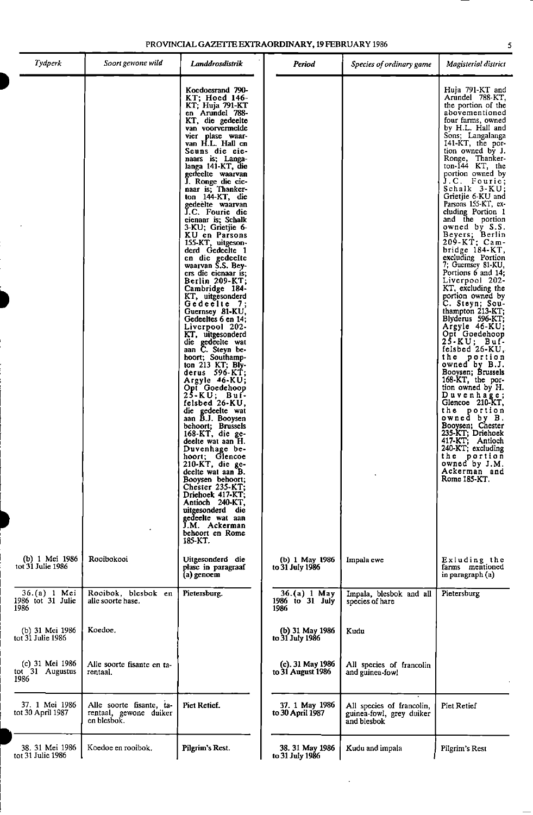| Tydperk                                    | Soort gewone wild                                                 | Landdrosdistrik                                                                                                                                                                                                                                                                                                                                                                                                                                                                                                                                                                                                                                                                                                                                                                                                                                                                                                                                                                                                                                                                                                                                                                                 | Period                                  | Species of ordinary game                                             | Magisterial district                                                                                                                                                                                                                                                                                                                                                                                                                                                                                                                                                                                                                                                                                                                                                                                                                                                                                                                                                                                            |
|--------------------------------------------|-------------------------------------------------------------------|-------------------------------------------------------------------------------------------------------------------------------------------------------------------------------------------------------------------------------------------------------------------------------------------------------------------------------------------------------------------------------------------------------------------------------------------------------------------------------------------------------------------------------------------------------------------------------------------------------------------------------------------------------------------------------------------------------------------------------------------------------------------------------------------------------------------------------------------------------------------------------------------------------------------------------------------------------------------------------------------------------------------------------------------------------------------------------------------------------------------------------------------------------------------------------------------------|-----------------------------------------|----------------------------------------------------------------------|-----------------------------------------------------------------------------------------------------------------------------------------------------------------------------------------------------------------------------------------------------------------------------------------------------------------------------------------------------------------------------------------------------------------------------------------------------------------------------------------------------------------------------------------------------------------------------------------------------------------------------------------------------------------------------------------------------------------------------------------------------------------------------------------------------------------------------------------------------------------------------------------------------------------------------------------------------------------------------------------------------------------|
|                                            |                                                                   | Koedoesrand 790-<br>KT: Hoed 146-<br>KT; Huja 791-KT<br>en Arundel 788-<br>KT, die gedeelte<br>van voorvermelde<br>vier plase waar-<br>van H.L. Hall en<br>Seuns die eie-<br>naars is; Langa-<br>langa 141-KT, die<br>gedeelte waarvan<br>J. Ronge die eie-<br>naar is; Thanker-<br>ton 144-KT, die<br>gedeelte waarvan<br>J.C. Fourie die<br>eienaar is; Schalk<br>3-KU; Grietjie 6-<br>KU en Parsons<br>155-KT, uitgeson-<br>derd Gedeelte 1<br>en die gedeelte<br>waarvan S.S. Bey-<br>ers die eienaar is:<br>Berlin 209-KT;<br>Cambridge 184-<br>KT, uitgesonderd<br>Gedeelte 7;<br>Guernsey 81-KU,<br>Gedeeltes 6 en 14;<br>Liverpool 202-<br>KT, uitgesonderd<br>die gedeelte wat<br>aan C. Steyn be-<br>hoort; Southamp-<br>ton 213 KT; Bly-<br>derus 596-KT;<br>Argyle 46-KU;<br>Opt Goedehoop<br>25-KU; Buf-<br>felsbed 26-KU,<br>die gedeelte wat<br>aan B.J. Booysen<br>behoort; Brussels<br>$168$ -KT, die ge-<br>deelte wat aan H.<br>Duvenhage be-<br>hoort: Glencoe<br>210-KT, die ge-<br>deelte wat aan B.<br>Booysen behoort;<br>Chester 235-KT;<br>Driehoek 417-KT;<br>Antioch 240-KT,<br>uitgesonderd die<br>gedeelte wat aan<br>J.M. Ackerman<br>behoort en Rome<br>185-KT. |                                         |                                                                      | Huja 791-KT and<br>Arundel 788-KT,<br>the portion of the<br>abovementioned<br>four farms, owned<br>by H.L. Hall and<br>Sons; Langalanga<br>141-KT, the por-<br>tion owned by J.<br>Ronge, Thanker-<br>$ton-144$ KT, the<br>portion owned by<br>J.C. Fourie;<br>Schalk 3-KU;<br>Grietjie 6-KU and<br>Parsons 155-KT, ex-<br>cluding Portion 1<br>and the portion<br>owned by S.S.<br>Beyers; Berlin<br>209-KT; Cam-<br>bridge 184-KT,<br>excluding Portion<br>7; Guernsey 81 KU,<br>Portions 6 and 14;<br>Liverpool 202-<br>KT, excluding the<br>portion owned by<br>C. Steyn: Sou-<br>thampton $213$ -KT;<br>Blyderus 596-KT;<br>Argyle 46-KU;<br>Opt Goedehoop<br>25-KU; Buf-<br>felsbed $26-KU$ ,<br>the portion<br>owned by B.J.<br>Booysen; Brussels<br>168-KT, the por-<br>tion owned by H.<br>Duvenhage;<br>Glencoe 210-KT,<br>the portion<br>owned by B.<br>Booysen: Chester<br>235-KT; Driehoek<br>417-KT; Antioch<br>240-KT; excluding<br>the portion<br>owned by J.M.<br>Ackerman and<br>Rome 185-KT. |
| (b) 1 Mei 1986<br>tot 31 Julie 1986        | Rooibokooi                                                        | Uitgesonderd die<br>plase in paragraaf<br>(a) genoem                                                                                                                                                                                                                                                                                                                                                                                                                                                                                                                                                                                                                                                                                                                                                                                                                                                                                                                                                                                                                                                                                                                                            | (b) 1 May 1986<br>to 31 July 1986       | Impala ewe                                                           | Exluding the<br>farms mentioned<br>in paragraph (a)                                                                                                                                                                                                                                                                                                                                                                                                                                                                                                                                                                                                                                                                                                                                                                                                                                                                                                                                                             |
| 36.(a) 1 Mei<br>1986 tot 31 Julie<br>1986  | Rooibok, blesbok en<br>alle soorte hase.                          | Pietersburg.                                                                                                                                                                                                                                                                                                                                                                                                                                                                                                                                                                                                                                                                                                                                                                                                                                                                                                                                                                                                                                                                                                                                                                                    | 36.(a) 1 May<br>1986 to 31 July<br>1986 | Impala, blesbok and all<br>species of hare                           | Pietersburg                                                                                                                                                                                                                                                                                                                                                                                                                                                                                                                                                                                                                                                                                                                                                                                                                                                                                                                                                                                                     |
| (b) 31 Mei 1986<br>tot 31 Julie 1986       | Koedoe.                                                           |                                                                                                                                                                                                                                                                                                                                                                                                                                                                                                                                                                                                                                                                                                                                                                                                                                                                                                                                                                                                                                                                                                                                                                                                 | (b) 31 May 1986<br>to 31 July 1986      | Kudu                                                                 |                                                                                                                                                                                                                                                                                                                                                                                                                                                                                                                                                                                                                                                                                                                                                                                                                                                                                                                                                                                                                 |
| (c) 31 Mei 1986<br>tot 31 Augustus<br>1986 | Alle soorte fisante en ta-<br>rentaal.                            |                                                                                                                                                                                                                                                                                                                                                                                                                                                                                                                                                                                                                                                                                                                                                                                                                                                                                                                                                                                                                                                                                                                                                                                                 | (c). 31 May 1986<br>to 31 August 1986   | All species of francolin<br>and guinea-fowl                          |                                                                                                                                                                                                                                                                                                                                                                                                                                                                                                                                                                                                                                                                                                                                                                                                                                                                                                                                                                                                                 |
| 37. 1 Mei 1986<br>tot 30 April 1987        | Alle soorte fisante, ta-<br>rentaal, gewone duiker<br>en blesbok. | Piet Retief.                                                                                                                                                                                                                                                                                                                                                                                                                                                                                                                                                                                                                                                                                                                                                                                                                                                                                                                                                                                                                                                                                                                                                                                    | 37. 1 May 1986<br>to 30 April 1987      | All species of francolin,<br>guinea-fowl, grey duiker<br>and blesbok | Piet Retief                                                                                                                                                                                                                                                                                                                                                                                                                                                                                                                                                                                                                                                                                                                                                                                                                                                                                                                                                                                                     |
| 38. 31 Mei 1986<br>tot 31 Julie 1986       | Koedoe en rooibok.                                                | Pilgrim's Rest.                                                                                                                                                                                                                                                                                                                                                                                                                                                                                                                                                                                                                                                                                                                                                                                                                                                                                                                                                                                                                                                                                                                                                                                 | 38. 31 May 1986<br>to 31 July 1986      | Kudu and impala                                                      | Pilgrim's Rest                                                                                                                                                                                                                                                                                                                                                                                                                                                                                                                                                                                                                                                                                                                                                                                                                                                                                                                                                                                                  |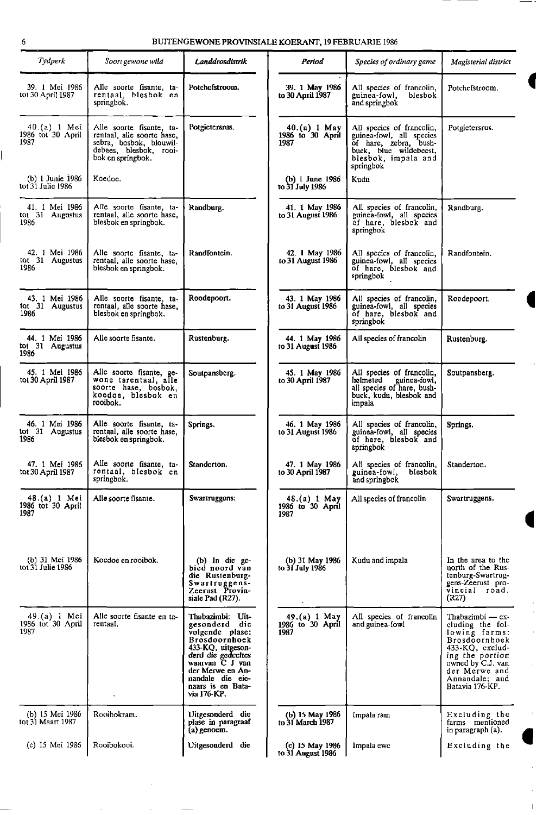| <b>Tyaperk</b>                            | Soort gewone wild                                                                                                                | Landdrosdistrik                                                                                                                                                                                                 | Period                                   | Species of ordinary game                                                                                                                     | Magisterial district                                                                                                                                                                       |
|-------------------------------------------|----------------------------------------------------------------------------------------------------------------------------------|-----------------------------------------------------------------------------------------------------------------------------------------------------------------------------------------------------------------|------------------------------------------|----------------------------------------------------------------------------------------------------------------------------------------------|--------------------------------------------------------------------------------------------------------------------------------------------------------------------------------------------|
| 39. 1 Mei 1986<br>tot 30 April 1987       | Alle soorte fisante, ta-<br>rentaal, blesbok en<br>springbok.                                                                    | Potchefstroom.                                                                                                                                                                                                  | 39. 1 May 1986<br>to 30 April 1987       | All species of francolin,<br>guinea-fowl,<br>blesbok<br>and springbok                                                                        | Potchefstroom.                                                                                                                                                                             |
| 40.(a) 1 Mei<br>1986 tot 30 April<br>1987 | Alle soorte fisante, ta-<br>rentaal, alle soorte hase,<br>sebra, bosbok, blouwil-<br>debees, blesbok, rooi-<br>bok en springbok. | Potgietersrus.                                                                                                                                                                                                  | 40.(a) 1 May<br>1986 to 30 April<br>1987 | All species of francolin,<br>guinea-fowl, all species<br>of hare, zebra, bush-<br>buck, blue wildebeest,<br>blesbok, impala and<br>springbok | Potgietersrus.                                                                                                                                                                             |
| $(b)$ 1 Junie 1986<br>tot 31 Julie 1986   | Koedoe.                                                                                                                          |                                                                                                                                                                                                                 | (b) 1 June 1986<br>to 31 July 1986       | Kudu                                                                                                                                         |                                                                                                                                                                                            |
| 41. 1 Mei 1986<br>tot 31 Augustus<br>1986 | Alle soorte fisante, ta-<br>rentaal, alle soorte hase,<br>blesbok en springbok.                                                  | Randburg.                                                                                                                                                                                                       | 41. 1 May 1986<br>to 31 August 1986      | All species of francolin,<br>guinea-towl, all species<br>of hare, blesbok and<br>springbok                                                   | Randburg.                                                                                                                                                                                  |
| 42. 1 Mei 1986<br>tot 31 Augustus<br>1986 | Alle soorte fisante, ta-<br>rentaal, alle soorte hase,<br>blesbok en springbok.                                                  | Randfontein.                                                                                                                                                                                                    | 42. 1 May 1986<br>to 31 August 1986      | All species of francolin,<br>guinea-fowl, all species<br>of hare, blesbok and<br>springbok                                                   | Randfontein.                                                                                                                                                                               |
| 43. 1 Mei 1986<br>tot 31 Augustus<br>1986 | Alle soorte fisante, ta-<br>rentaal, alle soorte hase,<br>blesbok en springbok.                                                  | Roodepoort.                                                                                                                                                                                                     | 43. 1 May 1986<br>to 31 August 1986      | All species of francolin,<br>guinea-fowl, all species<br>of hare, blesbok and<br>springbok                                                   | Roodepoort.                                                                                                                                                                                |
| 44. 1 Mei 1986<br>tot 31 Augustus<br>1986 | Alle soorte fisante.                                                                                                             | Rüstenburg.                                                                                                                                                                                                     | 44. 1 May 1986<br>to 31 August 1986      | All species of francolin                                                                                                                     | Rustenburg.                                                                                                                                                                                |
| 45. 1 Mei 1986<br>tot 30 April 1987       | Alle soorte fisante, ge-<br>wone tarentaal, alle<br>soorte hase, bosbok,<br>koedoe, blesbok en<br>rooibok.                       | Soutpansberg.                                                                                                                                                                                                   | 45. 1 May 1986<br>to 30 April 1987       | All species of francolin,<br>helmeted<br>guinea-fowl,<br>all species of hare, bush-<br>buck, kudu, blesbok and<br>impala                     | Soutpansberg.                                                                                                                                                                              |
| 46. 1 Mei 1986<br>tot 31 Augustus<br>1986 | Alle soorte fisante, ta-<br>rentaal, alle soorte hase,<br>blesbok en springbok.                                                  | Springs.                                                                                                                                                                                                        | 46. 1 May 1986<br>to 31 August 1986      | All species of francolin,<br>guinea-fowl, all species<br>of hare, blesbok and<br>springbok                                                   | Springs.                                                                                                                                                                                   |
| 47. 1 Mei 1986<br>tot 30 April 1987       | Alle soorte fisante, ta-<br>rentaal, blesbok en<br>springbok.                                                                    | Standerton.                                                                                                                                                                                                     | 47. 1 May 1986<br>to 30 April 1987       | All species of francolin,<br>guinea-fowl, blesbok<br>and springbok                                                                           | Standerton.                                                                                                                                                                                |
| 48.(a) 1 Mei<br>1986 tot 30 April<br>1987 | Alle soorte fisante.                                                                                                             | Swartruggens:                                                                                                                                                                                                   | 48.(a) 1 May<br>1986 to 30 April<br>1987 | All species of francolin                                                                                                                     | Swartruggens.                                                                                                                                                                              |
| (b) 31 Mei 1986<br>tot 31 Julie 1986      | Koedoe en rooibok.                                                                                                               | (b) In die ge-<br>bied noord van<br>die Rustenburg-<br>Swartruggens-<br>Zeerust Provin-<br>siale Pad (R27).                                                                                                     | (b) 31 May 1986<br>to 31 July 1986       | Kudu and impala                                                                                                                              | In the area to the<br>north of the Rus-<br>tenburg-Swartrug-<br>gens-Zeerust pro-<br>vincial road.<br>(R27)                                                                                |
| 49.(a) 1 Mei<br>1986 tot 30 April<br>1987 | Alle soorte fisante en ta-<br>rentaal.                                                                                           | Thabazimbi: Uit-<br>gesonderd die<br>volgende plase:<br>Brosdoornhoek<br>433-KQ, uitgeson-<br>derd die gedeeltes<br>waarvan C J van<br>der Merwe en An-<br>nandale die eie-<br>naars is en Bata-<br>via 176-KP. | 49.(a) 1 May<br>1986 to 30 April<br>1987 | All species of francolin<br>and guinea-fowl                                                                                                  | Thabazimbi — ex-<br>cluding the fol-<br>lowing farms:<br>Brosdoornhoek<br>$433-KQ$ , exclud-<br>ing the portion<br>owned by C.J. van<br>der Merwe and<br>Annandale; and<br>Batavia 176-KP. |
| (b) 15 Mei 1986<br>tot 31 Maart 1987      | Rooibokram.                                                                                                                      | Uitgesonderd die<br>plase in paragraaf<br>$(a)$ genoem.                                                                                                                                                         | (b) 15 May 1986<br>to 31 March 1987      | Impala ram                                                                                                                                   | Excluding the<br>farms mentioned<br>in paragraph (a).                                                                                                                                      |
| (c) 15 Mei 1986                           | Roojbokooi.                                                                                                                      | Uitgesonderd die                                                                                                                                                                                                | (c) 15 May 1986<br>to 31 August 1986     | Impala ewe                                                                                                                                   | Excluding the                                                                                                                                                                              |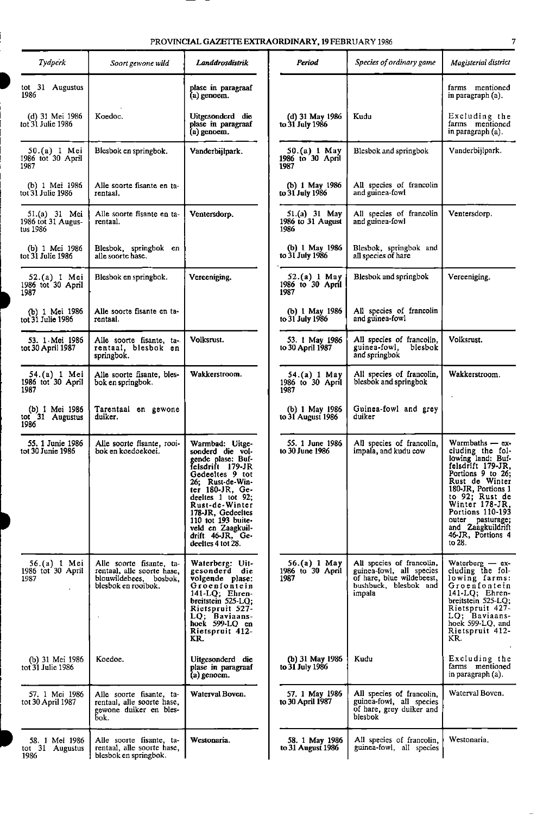| <b>Tyaperk</b>                                  | Soort gewone wild                                                                                       | Landdrosdistrik                                                                                                                                                                                                                                                                        | Period                                       | Species of ordinary game                                                                                              | Magisterial district                                                                                                                                                                                                                                                       |
|-------------------------------------------------|---------------------------------------------------------------------------------------------------------|----------------------------------------------------------------------------------------------------------------------------------------------------------------------------------------------------------------------------------------------------------------------------------------|----------------------------------------------|-----------------------------------------------------------------------------------------------------------------------|----------------------------------------------------------------------------------------------------------------------------------------------------------------------------------------------------------------------------------------------------------------------------|
| tot 31 Augustus<br>1986                         |                                                                                                         | plase in paragraaf<br>(a) genoem.                                                                                                                                                                                                                                                      |                                              |                                                                                                                       | farms mentioned<br>in paragraph (a).                                                                                                                                                                                                                                       |
| (d) 31 Mei 1986<br>tot 31 Julie 1986            | Koedoc.                                                                                                 | Uitgesonderd die<br>plase in paragraaf<br>$(a)$ genoem.                                                                                                                                                                                                                                | (d) 31 May 1986<br>to 31 July 1986           | Kudu                                                                                                                  | Excluding the<br>farms mentioned<br>in paragraph (a).                                                                                                                                                                                                                      |
| $50.(a)$ 1 Mei<br>1986 tot 30 April<br>1987     | Blesbok en springbok.                                                                                   | Vanderbijlpark.                                                                                                                                                                                                                                                                        | 50.(a) 1 May<br>1986 to 30 April<br>1987     | Blesbok and springbok                                                                                                 | Vanderbijlpark.                                                                                                                                                                                                                                                            |
| (b) 1 Mei 1986<br>tot 31 Julie 1986             | Alle soorte fisante en ta-<br>rentaal.                                                                  |                                                                                                                                                                                                                                                                                        | (b) $1$ May 1986<br>to 31 July 1986          | All species of francolin<br>and guinea-fowl                                                                           |                                                                                                                                                                                                                                                                            |
| 51.(a) 31 Mei<br>1986 tot 31 Augus-<br>tus 1986 | Alle soorte fisante en ta-<br>rentaal.                                                                  | Ventersdorp.                                                                                                                                                                                                                                                                           | $51.(a) 31$ May<br>1986 to 31 August<br>1986 | All species of francolin<br>and guinea-fowl                                                                           | Ventersdorp.                                                                                                                                                                                                                                                               |
| (b) 1 Mei 1986<br>tot 31 Julie 1986             | Blesbok, springbok en<br>alle soorte hase.                                                              |                                                                                                                                                                                                                                                                                        | (b) $1$ May 1986<br>to 31 July 1986          | Blesbok, springbok and<br>all species of hare                                                                         |                                                                                                                                                                                                                                                                            |
| 52.(a) 1 Mei<br>1986 tot 30 April<br>1987       | Blesbok en springbok.                                                                                   | Vereeniging.                                                                                                                                                                                                                                                                           | 52.(a) 1 May<br>1986 to 30 April<br>1987     | Blesbok and springbok                                                                                                 | Vereeniging.                                                                                                                                                                                                                                                               |
| (b) 1 Mei 1986<br>tot 31 Julie 1986             | Alle soorte fisante en ta-<br>rentaal.                                                                  |                                                                                                                                                                                                                                                                                        | (b) 1 May 1986<br>to 31 July 1986            | All species of francolin<br>and guinea-fowl                                                                           |                                                                                                                                                                                                                                                                            |
| 53. 1 Mei 1986<br>tot 30 April 1987             | Alle soorte fisante, ta-<br>rentaal, blesbok en<br>springbok.                                           | Volksrust.                                                                                                                                                                                                                                                                             | 53. 1 May 1986<br>to 30 April 1987           | All species of francolin,<br>guinea-fowl.<br>blesbok<br>and springbok                                                 | Volksrust.                                                                                                                                                                                                                                                                 |
| 54.(a) 1 Mei<br>1986 tot 30 April<br>1987       | Alle soorte fisante, bles-<br>bok en springbok.                                                         | Wakkerstroom.                                                                                                                                                                                                                                                                          | 54.(a) 1 May<br>1986 to 30 April<br>1987     | All species of francolin,<br>blesbok and springbok                                                                    | Wakkerstroom.                                                                                                                                                                                                                                                              |
| (b) 1 Mei 1986<br>tot 31 Augustus<br>1986       | Tarentaal en gewone<br>duiker.                                                                          |                                                                                                                                                                                                                                                                                        | (b) 1 May 1986<br>to 31 August 1986          | Guinea-fowl and grey<br>duiker                                                                                        |                                                                                                                                                                                                                                                                            |
| 55. 1 Junie 1986<br>tot 30 Junie 1986           | Alle soorte fisante, rooi-<br>bok en koedoekoei.                                                        | Warmbad: Uitge-<br>sonderd die vol-<br>gende plase: Buf-<br>felsdrift 179-JR<br>Gedeeltes 9 tot<br>26: Rust-de-Win-<br>ter 180-JR, Ge-<br>deeltes 1 tot 92;<br>Rust-de-Winter<br>178-JR, Gedeeltes<br>110 tot 193 buite-<br>veld en Zaagkuil-<br>drift 46-JR, Ge-<br>deeltes 4 tot 28. | 55. 1 June 1986<br>to 30 June 1986           | All species of francolin,<br>impala, and kudu cow                                                                     | Warmbaths - ex-<br>cluding the fol-<br>lowing land: Buf-<br>felsdrift 179-JR,<br>Portions 9 to 26;<br>Rust de Winter<br>180-JR, Portions 1<br>to 92; Rust de<br>Winter 178-JR.<br>Portions 110-193<br>outer pasturage;<br>and Zaagkuildrift<br>46-JR, Portions 4<br>to 28. |
| $56.(a) 1$ Mei<br>1986 tot 30 April<br>1987     | Alle soorte fisante, ta-<br>rentaal, alle soorte hase,<br>blouwildebees, bosbok,<br>blesbok en rooibok. | Waterberg: Uit-<br>gesonderd die<br>volgende plase:<br>Groenfontein<br>141-LQ; Ehren-<br>breitstein 525-LQ;<br>Rietspruit 527-<br>LQ; Baviaans-<br>hoek $599-LQ$ en<br>Rietspruit 412-<br>KR.                                                                                          | 56.(a) 1 May<br>1986 to 30 April<br>1987     | All species of francolin,<br>guinea-fowl, all species<br>of hare, blue wildebeest,<br>bushbuck, blesbok and<br>impala | Waterberg $-$ ex-<br>cluding the fol-<br>lowing farms:<br>Groenfontein<br>141-LQ; Ehren-<br>breitstein 525-LQ;<br>Rietspruit 427-<br>LQ; Baviaans-<br>hoek 599-LQ, and<br>Rietspruit 412-<br>KR.                                                                           |
| (b) 31 Mei 1986<br>tot 31 Julie 1986            | Koedoe.                                                                                                 | Uitgesonderd die<br>plase in paragraaf<br>$(a)$ genoem.                                                                                                                                                                                                                                | (b) 31 May 1986<br>to 31 July 1986           | Kudu                                                                                                                  | Excluding the<br>farms mentioned<br>in paragraph (a).                                                                                                                                                                                                                      |
| 57. 1 Mei 1986<br>tot 30 April 1987             | Alle soorte fisante, ta-<br>rentaal, alle soorte hase,<br>gewone duiker en bles-<br>bok.                | Waterval Boven.                                                                                                                                                                                                                                                                        | 57. 1 May 1986<br>to 30 April 1987           | All species of francolin,<br>guinea-fowl, all species<br>of hare, grey duiker and<br>blesbok                          | Waterval Boven.                                                                                                                                                                                                                                                            |
| 58. 1 Mei 1986<br>tot 31 Augustus<br>1986       | Alle soorte fisante, ta-<br>rentaal, alle soorte hase,<br>blesbok en springbok.                         | Westonaria.                                                                                                                                                                                                                                                                            | 58. 1 May 1986<br>to 31 August 1986          | All species of francolin,<br>guinea-fowl, all species                                                                 | Westonaria.                                                                                                                                                                                                                                                                |

| Soort gewone wild                                                                                       | Landdrosdistrik                                                                                                                                                                                                                                                                             | Period                                     | Species of ordinary game                                                                                              | Magisterial district                                                                                                                                                                                                                                                              |
|---------------------------------------------------------------------------------------------------------|---------------------------------------------------------------------------------------------------------------------------------------------------------------------------------------------------------------------------------------------------------------------------------------------|--------------------------------------------|-----------------------------------------------------------------------------------------------------------------------|-----------------------------------------------------------------------------------------------------------------------------------------------------------------------------------------------------------------------------------------------------------------------------------|
|                                                                                                         | plase in paragraaf<br>(a) genoem.                                                                                                                                                                                                                                                           |                                            |                                                                                                                       | farms mentioned<br>in paragraph (a).                                                                                                                                                                                                                                              |
| Koedoc.                                                                                                 | Uitgesonderd die<br>plase in paragraaf<br>$(a)$ genoem.                                                                                                                                                                                                                                     | (d) 31 May 1986<br>to 31 July 1986         | Kudu                                                                                                                  | Excluding the<br>farms mentioned<br>in paragraph (a).                                                                                                                                                                                                                             |
| Blesbok en springbok.                                                                                   | Vanderbijlpark.                                                                                                                                                                                                                                                                             | 50.(a) 1 May<br>1986 to 30 April<br>1987   | Blesbok and springbok                                                                                                 | Vanderbijlpark.                                                                                                                                                                                                                                                                   |
| Alle soorte fisante en ta-<br>rentaal.                                                                  |                                                                                                                                                                                                                                                                                             | (b) 1 May 1986<br>to 31 July 1986          | All species of francolin<br>and guinea-fowl                                                                           |                                                                                                                                                                                                                                                                                   |
| Alle soorte fisante en ta-<br>rentaal.                                                                  | Ventersdorp.                                                                                                                                                                                                                                                                                | 51.(a) 31 May<br>1986 to 31 August<br>1986 | All species of francolin<br>and guinea fowl                                                                           | Ventersdorp.                                                                                                                                                                                                                                                                      |
| Blesbok, springbok en<br>alle soorte hase.                                                              |                                                                                                                                                                                                                                                                                             | (b) 1 May 1986<br>to 31 July 1986          | Blesbok, springbok and<br>all species of hare                                                                         |                                                                                                                                                                                                                                                                                   |
| Blesbok en springbok.                                                                                   | Vereeniging.                                                                                                                                                                                                                                                                                | 52.(a) 1 May<br>1986 to 30 April<br>1987   | Blesbok and springbok                                                                                                 | Vereeniging.                                                                                                                                                                                                                                                                      |
| Alle soorte fisante en ta-<br>rentaal.                                                                  |                                                                                                                                                                                                                                                                                             | (b) 1 May 1986<br>to 31 July 1986          | All species of francolin<br>and guinea-fowl                                                                           |                                                                                                                                                                                                                                                                                   |
| Alle soorte fisante, ta-<br>rentaal, blesbok en<br>springbok.                                           | Volksrust.                                                                                                                                                                                                                                                                                  | 53. 1 May 1986<br>to 30 April 1987         | All species of francolin,<br>guinea-fowl.<br>blesbok<br>and springbok                                                 | Volksrust.                                                                                                                                                                                                                                                                        |
| Alle soorte fisante, bles-<br>bok en springbok.                                                         | Wakkerstroom.                                                                                                                                                                                                                                                                               | 54.(a) 1 May<br>1986 to 30 April<br>1987   | All species of francolin,<br>blesbok and springbok                                                                    | Wakkerstroom.                                                                                                                                                                                                                                                                     |
| Tarentaal en gewone<br>duiker.                                                                          |                                                                                                                                                                                                                                                                                             | (b) 1 May 1986<br>to 31 August 1986        | Guinea-fowl and grey<br>duiker                                                                                        |                                                                                                                                                                                                                                                                                   |
| Alle soorte fisante, rooi-<br>bok en koedoekoei.                                                        | Warmbad: Uitge-<br>sonderd die vol-<br>gende plase: Buf-<br>felsdrift 179-JR<br>Gedeeltes 9 tot<br>26: Rust-de-Win-<br>ter $180$ -JR, Ge-<br>deeltes 1 tot 92:<br>Rust-de-Winter<br>178-JR, Gedeeltes<br>110 tot $193$ buite-<br>veld en Zaagkuil-<br>drift 46-JR, Ge-<br>deeltes 4 tot 28. | 55. 1 June 1986<br>to 30 June 1986         | All species of francolin,<br>impala, and kudu cow                                                                     | Warmbaths — ex-<br>cluding the fol-<br>lowing land: Buf-<br>felsdrift 179-JR,<br>Portions 9 to 26;<br>Rust de Winter<br>180-JR, Portions 1<br>to 92; Rust de<br>Winter 178-JR.<br><b>Portions 110-193</b><br>outer pasturage;<br>and Zaagkuildrift<br>46-JR, Portions 4<br>to 28. |
| Alle soorte fisante, ta-<br>rentaal, alle soorte hase,<br>blouwildebees. bosbok.<br>blesbok en rooibok. | Waterberg: Uit-<br>gesonderd die<br>volgende plase:<br>Groenfontein<br>$141-LQ$ ; Ehren-<br>breitstein $525-LQ$ ;<br>Rietspruit 527-<br>LQ: Baviaans-<br>hoek $599-LQ$ en<br>Rietspruit 412-<br>KR.                                                                                         | 56.(a) 1 May<br>1986 to 30 April<br>1987   | All species of francolin,<br>guinea-fowl, all species<br>of hare, blue wildebeest,<br>bushbuck, blesbok and<br>impala | Waterberg - ex-<br>cluding the fol-<br>lowing farms:<br>Groenfontein<br>141-LQ; Ehren-<br>breitstein $525-LQ$ ;<br>Rietspruit 427-<br>LQ; Baviaans-<br>hoek 599-LQ, and<br>Rietspruit 412-<br>KR.                                                                                 |
| Koedoe.                                                                                                 | Uitgesonderd die<br>plase in paragraaf<br>$(a)$ genoem.                                                                                                                                                                                                                                     | (b) 31 May 1986<br>to 31 July 1986         | Kudu                                                                                                                  | Excluding the<br>farms mentioned<br>in paragraph (a).                                                                                                                                                                                                                             |
| Alle soorte fisante, ta-<br>rentaal, alle soorte hase,<br>gewone duiker en bles-<br>bok.                | Waterval Boven.                                                                                                                                                                                                                                                                             | 57. 1 May 1986<br>to 30 April 1987         | All species of francolin,<br>guinea-fowl, all species<br>of hare, grey duiker and<br>blesbok                          | Waterval Boven.                                                                                                                                                                                                                                                                   |
| Alle soorte fisante, ta-<br>rentaal, alle soorte hase,<br>blesbok en springbok.                         | Westonaria.                                                                                                                                                                                                                                                                                 | 58. 1 May 1986<br>to 31 August 1986        | All species of francolin,<br>guinea-fowl, all species                                                                 | Westonaria.                                                                                                                                                                                                                                                                       |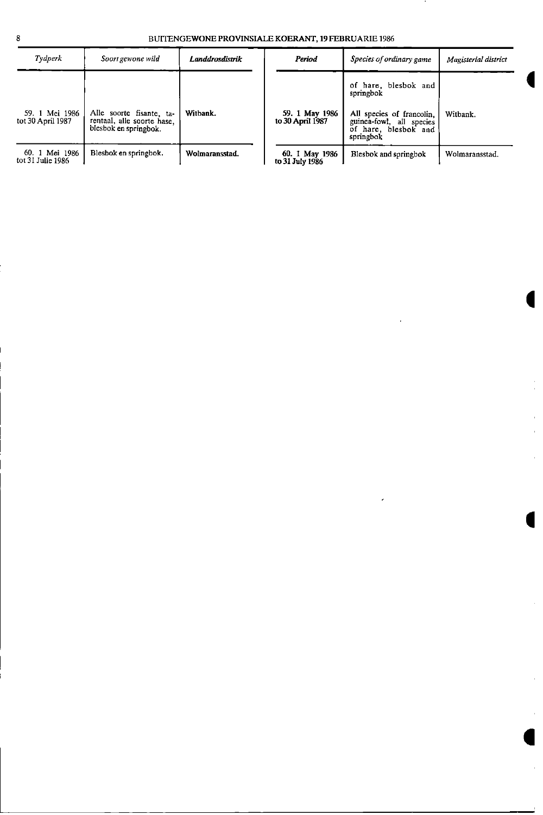| Tydperk                             | Soort gewone wild                                                               | Landdrosdistrik | Period                             | Species of ordinary game                                                                                                        | Magisterial district |
|-------------------------------------|---------------------------------------------------------------------------------|-----------------|------------------------------------|---------------------------------------------------------------------------------------------------------------------------------|----------------------|
| 59. 1 Mei 1986<br>tot 30 April 1987 | Alle soorte fisante, ta-<br>rentaal, alle soorte hase.<br>blesbok en springbok. | Witbank.        | 59. 1 May 1986<br>to 30 April 1987 | of hare, blesbok and<br>springbok<br>All species of francolin,<br>guinea-fowl, all species<br>of hare, blesbok and<br>springbok | Witbank.             |
| 60. 1 Mei 1986<br>tot 31 Julie 1986 | Blesbok en springbok.                                                           | Wolmaransstad.  | 60. 1 May 1986<br>to 31 July 1986  | Blesbok and springbok                                                                                                           | Wolmaransstad.       |

à, J.

 $\bar{\bar{1}}$  $\mathbf{r}$ 

à.

 $\ddot{\phantom{0}}$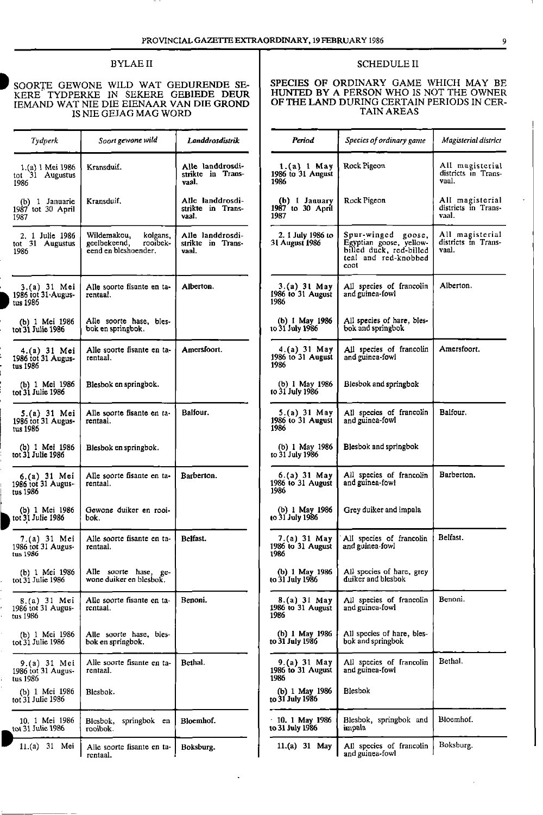l,

# IS NIE GEJAG MAG WORD

| <b>Tydperk</b>                                   | Soort gewone wild                                                           | Landdrosdistrik                                | Period                                      | Species of ordinary game                                                                                        | Magisterial district                            |
|--------------------------------------------------|-----------------------------------------------------------------------------|------------------------------------------------|---------------------------------------------|-----------------------------------------------------------------------------------------------------------------|-------------------------------------------------|
| 1 (a) 1 Mei 1986<br>tot 31 Augustus<br>1986      | Kransduif.                                                                  | Alle landdrosdi-<br>strikte in Trans-<br>vaal. | $1.(a) 1$ May<br>1986 to 31 August<br>1986  | Rock Pigeon                                                                                                     | All magisterial<br>districts in Trans-<br>vaal. |
| (b) $1$ Januarie<br>1987 tot 30 April<br>1987    | Kransduif.                                                                  | Alle landdrosdi-<br>strikte in Trans-<br>vaal. | (b) I January<br>1987 to 30 April<br>1987   | Rock Pigeon                                                                                                     | All magisterial<br>districts in Trans-<br>vaal. |
| 2. 1 Julie 1986<br>tot 31 Augustus<br>1986       | Wildemakou,<br>kolgans.<br>rooibek-<br>geelbekeend,<br>eend en bleshoender. | Alle landdrosdi-<br>strikte in Trans-<br>vaal. | 2. 1 July 1986 to<br><b>31 August 1986</b>  | Spur-winged goose,<br>Egyptian goose, vellow-<br>billed duck, red-billed<br>teal and red-knobbed<br><b>CODI</b> | All magisterial<br>districts in Trans-<br>vaal. |
| $3.(a) 31$ Mei<br>1986 tot 31 Augus-<br>tus 1986 | Alle soorte fisante en ta-<br>rentaal.                                      | Alberton.                                      | $3.(a) 31$ May<br>1986 to 31 August<br>1986 | All species of francolin<br>and guinea-fowl                                                                     | Alberton.                                       |
| (b) 1 Mei 1986<br>tot 31 Julie 1986              | Alle soorte hase, bles-<br>bok en springbok.                                |                                                | (b) 1 May 1986<br>to 31 July 1986           | All species of hare, bles-<br>bok and springbok                                                                 |                                                 |
| 4.(a) 31 Mei<br>1986 tot 31 Augus-<br>tus 1986   | Alle soorte fisante en ta-<br>rentaal.                                      | Amersfoort.                                    | $4.(a) 31$ May<br>1986 to 31 August<br>1986 | All species of francolin<br>and guinea-fowl                                                                     | Amersfoort.                                     |
| (b) 1 Mei 1986<br>tot 31 Julie 1986              | Blesbok en springbok.                                                       |                                                | (b) $1$ May 1986<br>to 31 July 1986         | Blesbok and springbok                                                                                           |                                                 |
| 5.(a) 31 Mei<br>1986 tot 31 Augus-<br>tus 1986   | Alle soorte fisante en ta-<br>rentaal.                                      | Balfour.                                       | 5.(a) 31 May<br>1986 to 31 August<br>1986   | All species of francolin<br>and guinea-fowl                                                                     | Balfour.                                        |
| (b) 1 Mei 1986<br>tot 31 Julie 1986              | Blesbok en springbok.                                                       |                                                | (b) 1 May 1986<br>to 31 July 1986           | Blesbok and springbok                                                                                           |                                                 |
| 6.(a) 31 Mei<br>1986 tot 31 Augus-<br>tus 1986   | Alle soorte fisante en ta-<br>rentaal.                                      | Barberton.                                     | 6.(a) 31 May<br>1986 to 31 August<br>1986   | All species of francolin<br>and guinea-fowl                                                                     | Barberton.                                      |
| (b) 1 Mei 1986<br>tot 31 Julie 1986              | Gewone duiker en rooi-<br>bok.                                              |                                                | (b) 1 May 1986<br>to 31 July 1986           | Grey duiker and impala                                                                                          |                                                 |
| 7.(a) 31 Mei<br>1986 tot 31 Augus-<br>tus 1986   | Alle soorte fisante en ta-<br>rentaal.                                      | Belfast.                                       | 7.(a) 31 May<br>1986 to 31 August<br>1980   | All species of francolin<br>and guinea-fowl                                                                     | Belfast.                                        |
| (b) 1 Mei 1986<br>tot 31 Julie 1986              | Alle soorte hase, ge-<br>wone duiker en blesbok.                            |                                                | (b) 1 May 1986<br>to 31 July 1986           | All species of hare, grey<br>duiker and blesbok                                                                 |                                                 |
| 8 (a) 31 Mei<br>1986 tot 31 Augus-<br>tus 1986   | Alle soorte fisante en ta-<br>rentaal.                                      | Benoni.                                        | 8.(a) 31 May<br>1986 to 31 August<br>1986   | All species of francolin<br>and guinea-fowl                                                                     | Benoni.                                         |
| (b) 1 Mei 1986<br>tot 31 Julie 1986              | Alle soorte hase, bles-<br>bok en springbok.                                |                                                | (b) 1 May 1986<br>to 31 July 1986           | All species of hare, bles-<br>bok and springbok                                                                 |                                                 |
| 9.(a) 31 Mei<br>1986 tot 31 Augus-<br>tus 1986   | Alle soorte fisante en ta-<br>rentaal.                                      | Bethal.                                        | 9.(a) 31 May<br>1986 to 31 August<br>1986   | All species of francolin<br>and guinea-fowl                                                                     | Bethal.                                         |
| (b) 1 Mei 1986<br>tot 31 Julie 1986              | Blesbok.                                                                    |                                                | (b) 1 May 1986<br>to 31 July 1986           | <b>Blesbok</b>                                                                                                  |                                                 |
| 10. 1 Mei 1986<br>tot 31 Julie 1986              | Blesbok, springbok en<br>rooibok.                                           | Bloemhof.                                      | $10.1$ May 1986<br>to 31 July 1986          | Blesbok, springbok and<br>impala                                                                                | Bloemhof.                                       |
| 11.(a) 31 Mei                                    | Alle soorte fisante en ta-<br>rentaal.                                      | Boksburg.                                      | 11.(a) 31 May                               | All species of francolin<br>and guinea-fowl                                                                     | Boksburg.                                       |

#### BYLAE II SCHEDULE II

# SOORTE GEWONE WILD WAT GEDURENDE SE-<br>KERE TYDPERKE IN SEKERE GEBIEDE DEUR HUNTED BY A PERSON WHO IS NOT THE OWNER IEMAND WAT NIE DIE EIENAAR VAN DIE GROND | OF THE LAND DURING CERTAIN PERIODS IN CER-

| <b>Tydperk</b>                             | Soort gewone wild                                                           | Landdrosdistrik                                | Period                                      | Species of ordinary game                                                                                 | Magisterial district                            |
|--------------------------------------------|-----------------------------------------------------------------------------|------------------------------------------------|---------------------------------------------|----------------------------------------------------------------------------------------------------------|-------------------------------------------------|
| 1 (a) 1 Mei 1986<br>t 31 Augustus<br>86    | Kransduif.                                                                  | Alle landdrosdi-<br>strikte in Trans-<br>vaal. | 1.(a) 1 May<br>1986 to 31 August<br>1986    | Rock Pigeon                                                                                              | All magisterial<br>districts in Trans-<br>vaal. |
| (b) 1 Januarie<br>87 tot 30 April          | Kransduif.                                                                  | Alle landdrosdi-<br>strikte in Trans-<br>vaal. | (b) 1 January<br>1987 to 30 April<br>1987   | Rock Pigeon                                                                                              | All magisterial<br>districts in Trans-<br>vaal. |
| 2. 1 Julie 1986<br>1 31 Augustus<br>86     | Wildemakou,<br>kolgans.<br>geelbekeend,<br>rooibek-<br>eend en bleshoender. | Alle landdrosdi-<br>strikte in Trans-<br>vaal. | 2. 1 July 1986 to<br><b>31 August 1986</b>  | Spur-winged goose,<br>Egyptian goose, yellow-<br>billed duck, red-billed<br>teal and red-knobbed<br>coot | All magisterial<br>districts in Trans-<br>vaal. |
| 3.(a) 31 Mei<br>86 tot 31 Augus-<br>1986 ، | Alle soorte fisante en ta-<br>rentaal.                                      | Alberton.                                      | 3.(a) 31 May<br>1986 to $31$ August<br>1986 | All species of francolin<br>and guinea-fowl                                                              | Alberton.                                       |
| (b) 1 Mei 1986<br><b>31 Julie 1986</b>     | Alle soorte hase, bles-<br>bok en springbok.                                |                                                | (b) 1 May 1986<br>to 31 July 1986           | All species of hare, bles-<br>bok and springbok                                                          |                                                 |
| 4.(a) 31 Mei<br>86 tot 31 Augus-<br>1986 ، | Alle soorte fisante en ta-<br>rentaal.                                      | Amersfoort.                                    | 4.(a) 31 May<br>1986 to 31 August<br>1986   | All species of francolin<br>and guinea-fowl                                                              | Amersfoort.                                     |
| (b) 1 Mei 1986<br><b>31 Julie 1986</b> :   | Blesbok en springbok.                                                       |                                                | (b) 1 May 1986<br>to 31 July 1986           | Blesbok and springbok                                                                                    |                                                 |
| 5 (a) 31 Mei<br>86 tot 31 Augus-<br>: 1986 | Alle soorte fisante en ta-<br>rentaal.                                      | Balfour.                                       | $5.(a) 31$ May<br>1986 to 31 August<br>1986 | All species of francolin<br>and guinea-fowl                                                              | Balfour.                                        |
| (b) 1 Mei 1986<br><b>31 Julie 1986</b>     | Blesbok en springbok.                                                       |                                                | (b) 1 May 1986<br>to 31 July 1986           | Blesbok and springbok                                                                                    |                                                 |
| 6 (a) 31 Mei<br>36 tot 31 Augus-<br>: 1986 | Alle soorte fisante en ta-<br>rentaal.                                      | Barberton.                                     | 6.(a) 31 May<br>1986 to 31 August<br>1986   | All species of francolin<br>and guinea-fowl                                                              | Barberton.                                      |
| (b) 1 Mei 1986<br>:31 Julie 1986           | Gewone duiker en rooi-<br>bok.                                              |                                                | (b) 1 May 1986<br>to 31 July 1986           | Grey duiker and impala                                                                                   |                                                 |
| 7.(a) 31 Mei<br>86 tot 31 Augus-<br>, 1790 | Alle soorte fisante en ta-<br>rentaal.                                      | Belfast.                                       | 7.(a) 31 May<br>1986 to 31 August<br>1986   | All species of francolin<br>and guinea-fowl                                                              | Belfast.                                        |
| (b) 1 Mei 1986<br>: 31 Julie 1986          | Alle soorte hase, ge-<br>wone duiker en blesbok.                            |                                                | $(b)$ 1 May 1986<br>to 31 July 1986         | All species of hare, grey<br>duiker and blesbok                                                          |                                                 |
| 8.(a) 31 Mei<br>36 tot 31 Augus-<br>1986 ، | Alle soorte fisante en ta-<br>rentaal.                                      | Benoni.                                        | 8.(a) 31 May<br>1986 to 31 August<br>1986   | All species of francolin<br>and guinea-fowl                                                              | Benoni.                                         |
| (b) 1 Mei 1986<br>31 Julie 1986            | Alle soorte hase, bles-<br>bok en springbok.                                |                                                | (b) 1 May 1986<br>to 31 July 1986           | All species of hare, bles-<br>bok and springbok                                                          |                                                 |
| 9.(a) 31 Mei<br>86 tot 31 Augus-<br>: 1986 | Alle soorte fisante en ta-<br>rentaal.                                      | Bethal.                                        | 9.(a) 31 May<br>1986 to 31 August<br>1986   | All species of francolin<br>and guinea-fowl                                                              | Bethal.                                         |
| (b) 1 Mei 1986<br>31 Julie 1986)           | Blesbok.                                                                    |                                                | (b) $1$ May 1986<br>to 31 July 1986         | <b>Blesbok</b>                                                                                           |                                                 |
| 10. 1 Mei 1986<br>: 31 Julie 1986          | Blesbok, springbok en<br>rooibok.                                           | Bloemhof.                                      | $10.1$ May 1986<br>to 31 July 1986          | Blesbok, springbok and<br>impala                                                                         | Bloemhof.                                       |
| 11.(a) 31 Mei                              | Alle soorte fisante en ta-<br>rentaal.                                      | Boksburg.                                      | 11.(a) 31 May                               | All species of francolin<br>and guinea-fowl                                                              | Boksburg.                                       |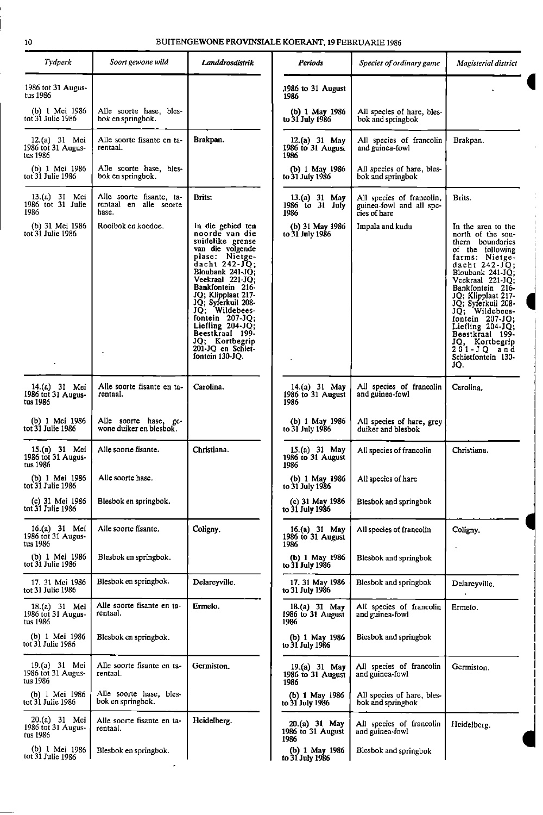| Tydperk                                         | Soort gewone wild                                           | Landdrosdistrik                                                                                                                                                                                                                                                                                                                                                       | Periods                                      | Species of ordinary game                                              | Magisterial district                                                                                                                                                                                                                                                                                                                                                           |
|-------------------------------------------------|-------------------------------------------------------------|-----------------------------------------------------------------------------------------------------------------------------------------------------------------------------------------------------------------------------------------------------------------------------------------------------------------------------------------------------------------------|----------------------------------------------|-----------------------------------------------------------------------|--------------------------------------------------------------------------------------------------------------------------------------------------------------------------------------------------------------------------------------------------------------------------------------------------------------------------------------------------------------------------------|
| 1986 tot 31 Augus-<br>tus 1986                  |                                                             |                                                                                                                                                                                                                                                                                                                                                                       | 1986 to 31 August<br>1986                    |                                                                       |                                                                                                                                                                                                                                                                                                                                                                                |
| (b) 1 Mei 1986<br>tot 31 Julie 1986             | Alle soorte hase, bles-<br>bok en springbok.                |                                                                                                                                                                                                                                                                                                                                                                       | (b) 1 May 1986<br>to 31 July 1986            | All species of hare, bles-<br>bok and springbok                       |                                                                                                                                                                                                                                                                                                                                                                                |
| 12.(a) 31 Mei<br>1986 tot 31 Augus-<br>tus 1986 | Alle soorte fisante en ta-<br>rentaal.                      | Brakpan.                                                                                                                                                                                                                                                                                                                                                              | 12.(a) 31 May<br>1986 to 31 August<br>1986   | All species of francolin<br>and guinea-fowl                           | Brakpan.                                                                                                                                                                                                                                                                                                                                                                       |
| (b) 1 Mei 1986<br>tot 31 Julie 1986             | Alle soorte hase, bles-<br>bok en springbok.                |                                                                                                                                                                                                                                                                                                                                                                       | (b) 1 May 1986<br>to 31 July 1986            | All species of hare, bles-<br>bok and springbok                       |                                                                                                                                                                                                                                                                                                                                                                                |
| 13.(a) 31 Mei<br>1986 tot 31 Julie<br>1986      | Alle soorte fisante, ta-<br>rentaal en alle soorte<br>hase. | Brits:                                                                                                                                                                                                                                                                                                                                                                | $13.(a) 31$ May<br>1986 to 31 July<br>1986   | All species of francolin,<br>guinea-fowl and all spe-<br>cies of hare | Brits.                                                                                                                                                                                                                                                                                                                                                                         |
| (b) 31 Mei 1986<br>tot 31 Julie 1986            | Rooibok en koedoe.                                          | In die gebied ten<br>noorde van die<br>suidelike grense<br>van die volgende<br>plase: Nietge-<br>dacht $242-JQ$ ;<br>Bloubank 241-JQ;<br>Veekraal 221-JQ:<br>Bankfontein 216-<br>JQ; Klipplaat 217-<br>JQ; Syferkuil 208-<br>JO: Wildebees-<br>fontein $207-JQ$ ;<br>Liefling $204-JQ$ ;<br>Beestkraal 199-<br>JQ; Kortbegrip<br>201-JQ en Schiet-<br>fontein 130-JQ. | (b) 31 May 1986<br>to 31 July 1986           | Impala and kudu                                                       | In the area to the<br>north of the sou-<br>thern boundaries<br>of the following<br>farms: Nietge-<br>dacht $242 - JQ$ :<br>Bloubank 241-JQ;<br>Veekraal 221-JQ;<br>Bankfontein 216-<br>JQ; Klipplaat 217-<br>JQ; Syferkuil 208-<br>JQ; Wildebees-<br>fontein $207-JQ$ ;<br>Liefling $204-JQ$ ;<br>Beestkraal 199-<br>JQ, Kortbegrip<br>201-JQ and<br>Schietfontein 130-<br>JQ. |
| 14.(a) 31 Mei<br>1986 tot 31 Augus-<br>tus 1986 | Alle soorte fisante en ta-<br>rentaal.                      | Carolina.                                                                                                                                                                                                                                                                                                                                                             | 14.(a) 31 May<br>1986 to 31 August<br>1986   | All species of francolin<br>and guinea-fowl                           | Carolina.                                                                                                                                                                                                                                                                                                                                                                      |
| (b) 1 Mei 1986<br>tot 31 Julie 1986             | Alle soorte hase, gc-<br>wone duiker en blesbok.            |                                                                                                                                                                                                                                                                                                                                                                       | (b) $1$ May 1986<br>to 31 July 1986          | All species of hare, grey<br>duiker and blesbok                       |                                                                                                                                                                                                                                                                                                                                                                                |
| 15.(a) 31 Mei<br>1986 tot 31 Augus-<br>tus 1986 | Alle soorte fisante.                                        | Christiana.                                                                                                                                                                                                                                                                                                                                                           | 15.(a) 31 May<br>1986 to 31 August<br>1986   | All species of francolin                                              | Christiana.                                                                                                                                                                                                                                                                                                                                                                    |
| (b) 1 Mei 1986<br>tot 31 Julie 1986             | Alle soorte hase.                                           |                                                                                                                                                                                                                                                                                                                                                                       | (b) 1 May 1986<br>to 31 July 1986            | All species of hare                                                   |                                                                                                                                                                                                                                                                                                                                                                                |
| (c) 31 Mei 1986<br>tot 31 Julie 1986            | Blesbok en springbok.                                       |                                                                                                                                                                                                                                                                                                                                                                       | (c) 31 May 1986<br>to 31 July 1986           | Blesbok and springbok                                                 |                                                                                                                                                                                                                                                                                                                                                                                |
| 16.(a) 31 Mei<br>1986 tot 31 Augus-<br>tus 1986 | Alle soorte fisante.                                        | Coligny.                                                                                                                                                                                                                                                                                                                                                              | 16.(a) 31 May<br>1986 to 31 August<br>1986   | All species of francolin                                              | Coligny.                                                                                                                                                                                                                                                                                                                                                                       |
| (b) 1 Mei 1986<br>tot 31 Julie 1986             | Blesbok en springbok.                                       |                                                                                                                                                                                                                                                                                                                                                                       | (b) 1 May 1986<br>to 31 July 1986            | Blesbok and springbok                                                 |                                                                                                                                                                                                                                                                                                                                                                                |
| 17. 31 Mei 1986<br>tot 31 Julie 1986            | Blesbok en springbok.                                       | Delareyville.                                                                                                                                                                                                                                                                                                                                                         | 17.31 May 1986<br>to 31 July 1986            | Blesbok and springbok                                                 | Delarcyville.                                                                                                                                                                                                                                                                                                                                                                  |
| 18.(a) 31 Mei<br>1986 tot 31 Augus-<br>tus 1986 | Alle soorte fisante en ta-<br>rentaal.                      | Ermelo.                                                                                                                                                                                                                                                                                                                                                               | $18.(a) 31$ May<br>1986 to 31 August<br>1986 | All species of francolin<br>and guinea-fowl                           | Ermelo.                                                                                                                                                                                                                                                                                                                                                                        |
| (b) 1 Mei 1986<br>tot 31 Julie 1986             | Blesbok en springbok.                                       |                                                                                                                                                                                                                                                                                                                                                                       | (b) 1 May 1986<br>to 31 July 1986            | Blesbok and springbok                                                 |                                                                                                                                                                                                                                                                                                                                                                                |
| 19.(a) 31 Mei<br>1986 tot 31 Augus-<br>tus 1986 | Alle soorte fisante en ta-<br>rentaal.                      | Germiston.                                                                                                                                                                                                                                                                                                                                                            | 19.(a) 31 May<br>1986 to 31 August<br>1986   | All species of francolin<br>and guinea-fowl                           | Germiston.                                                                                                                                                                                                                                                                                                                                                                     |
| (b) 1 Mei 1986<br>tot 31 Julie 1986             | Alle soorte hase, bles-<br>bok en springbok.                |                                                                                                                                                                                                                                                                                                                                                                       | (b) 1 May 1986<br>to 31 July 1986            | All species of hare, bles-<br>bok and springbok                       |                                                                                                                                                                                                                                                                                                                                                                                |
| 20.(a) 31 Mei<br>1986 tot 31 Augus-<br>tus 1986 | Alle soorte fisante en ta-<br>rentaal.                      | Heidelberg.                                                                                                                                                                                                                                                                                                                                                           | 20.(a) 31 May<br>1986 to 31 August<br>1986   | All species of francolin<br>and guinea-fowl                           | Heidelberg.                                                                                                                                                                                                                                                                                                                                                                    |
| (b) 1 Mei 1986<br>tot 31 Julie 1986             | Blesbok en springbok.                                       |                                                                                                                                                                                                                                                                                                                                                                       | (b) 1 May 1986<br>to 31 July 1986            | Blesbok and springbok                                                 |                                                                                                                                                                                                                                                                                                                                                                                |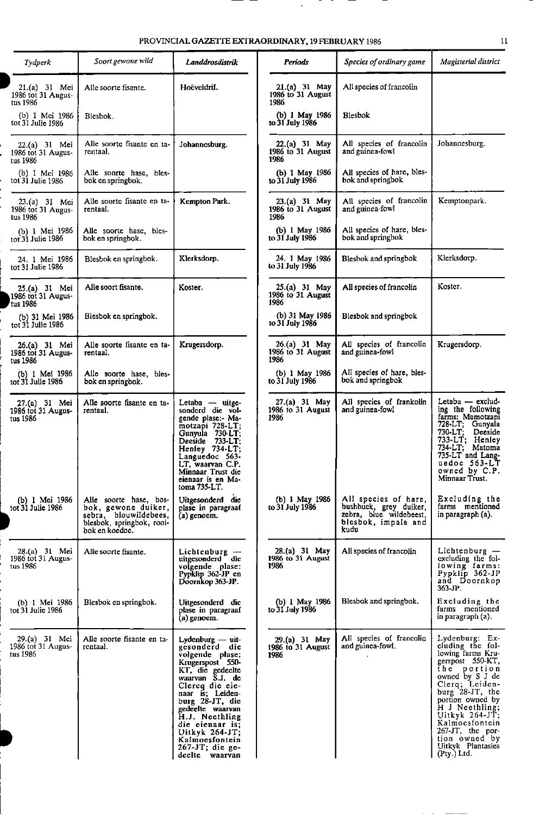| Tydperk                                           | Soort gewone wild                                                                                                     | Landarosdistrik                                                                                                                                                                                                                                                                                                   | Periods                                      | Species of ordinary game                                                                                 | Magisterial district                                                                                                                                                                                                                                                                                     |
|---------------------------------------------------|-----------------------------------------------------------------------------------------------------------------------|-------------------------------------------------------------------------------------------------------------------------------------------------------------------------------------------------------------------------------------------------------------------------------------------------------------------|----------------------------------------------|----------------------------------------------------------------------------------------------------------|----------------------------------------------------------------------------------------------------------------------------------------------------------------------------------------------------------------------------------------------------------------------------------------------------------|
| $21.(a) 31$ Mei<br>1986 tot 31 Augus-<br>tus 1986 | Alle soorte fisante.                                                                                                  | Hoëveldrif.                                                                                                                                                                                                                                                                                                       | 21.(a) 31 May<br>1986 to 31 August<br>1986   | All species of francolin                                                                                 |                                                                                                                                                                                                                                                                                                          |
| (b) 1 Mei 1986<br>tot 31 Julie 1986               | Blesbok.                                                                                                              |                                                                                                                                                                                                                                                                                                                   | (b) 1 May 1986<br>to 31 July 1986            | Blesbok                                                                                                  |                                                                                                                                                                                                                                                                                                          |
| 22.(a) 31 Mei<br>1986 tot 31 Augus-<br>tus 1986   | Alle soorte fisante en ta-<br>rentaal.                                                                                | Johannesburg.                                                                                                                                                                                                                                                                                                     | 22.(a) 31 May<br>1986 to 31 August<br>1986   | All species of francolin<br>and guinea-fowl                                                              | Johannesburg.                                                                                                                                                                                                                                                                                            |
| (b) 1 Mei 1986<br>tot 31 Julie 1986               | Alle soorte hase, bles-<br>bok en springbok.                                                                          |                                                                                                                                                                                                                                                                                                                   | (b) 1 May 1986<br>to 31 July 1986            | All species of hare, bles-<br>bok and springbok                                                          |                                                                                                                                                                                                                                                                                                          |
| 23.(a) 31 Mei<br>1986 tot 31 Augus-<br>tus 1986   | Alle soorte fisante en ta-<br>rentaal.                                                                                | Kempton Park.                                                                                                                                                                                                                                                                                                     | 23.(a) 31 May<br>1986 to 31 August<br>1986   | All species of francolin<br>and guinea-fowl                                                              | Kemptonpark.                                                                                                                                                                                                                                                                                             |
| (b) 1 Mei 1986<br>tot 31 Julie 1986               | Alle soorte hase, bles-<br>bok en springbok.                                                                          |                                                                                                                                                                                                                                                                                                                   | (b) 1 May 1986<br>to 31 July 1986            | All species of hare, bles-<br>bok and springbok                                                          |                                                                                                                                                                                                                                                                                                          |
| 24. 1 Mei 1986<br>tot 31 Julie 1986               | Blesbok en springbok.                                                                                                 | Klerksdorp.                                                                                                                                                                                                                                                                                                       | 24. 1 May 1986<br>to 31 July 1986            | Blesbok and springbok                                                                                    | Klerksdorp.                                                                                                                                                                                                                                                                                              |
| 25.(a) 31 Mei<br>1986 tot 31 Augus-<br>tus 1986   | Alle soort fisante.                                                                                                   | Koster.                                                                                                                                                                                                                                                                                                           | 25.(a) 31 May<br>1986 to 31 August<br>1986   | All species of francolin                                                                                 | Koster.                                                                                                                                                                                                                                                                                                  |
| (b) 31 Mei 1986<br>tot 31 Julie 1986              | Blesbok en springbok.                                                                                                 |                                                                                                                                                                                                                                                                                                                   | (b) 31 May 1986<br>to 31 July 1986           | Blesbok and springbok                                                                                    |                                                                                                                                                                                                                                                                                                          |
| 26.(a) 31 Mei<br>1986 tot 31 Augus-<br>tus 1986   | Alle soorte fisante en ta-<br>rentaal.                                                                                | Krugersdorp.                                                                                                                                                                                                                                                                                                      | $26.(a) 31$ May<br>1986 to 31 August<br>1986 | All species of francolin<br>and guinea-fowl                                                              | Krugersdorp.                                                                                                                                                                                                                                                                                             |
| (b) 1 Mei 1986<br>tot 31 Julie 1986               | Alle soorte hase, bles-<br>bok en springbok.                                                                          |                                                                                                                                                                                                                                                                                                                   | (b) 1 May 1986<br>to 31 July 1986            | All species of hare, bles-<br>bok and springbok                                                          |                                                                                                                                                                                                                                                                                                          |
| 27.(a) 31 Mei<br>1986 tot 31 Augus-<br>tus 1986   | Alle soorte fisante en ta-<br>rentaal.                                                                                | Letaba — uitge-<br>sonderd die vol-<br>gende plase:- Ma-<br>motzapi 728-LT;<br>Gunyula 730-LT;<br>Deeside 733-LT:<br>Henley 734-LT;<br>Languedoc 563-<br>LT, waarvan C.P.<br>Minnaar Trust die<br>eienaar is en Ma-<br>toma $735-LT$ .                                                                            | $27.(a) 31$ May<br>1986 to 31 August<br>1986 | All species of frankolin<br>and guinea-fowl                                                              | Letaba — exclud-<br>ing the following<br>farms: Mamotzapi<br>728-LT;<br>Gunyala<br>730-LT:<br>Deeside<br>733-LT;<br>Henley<br>734-LT; Matoma<br>735-LT and Lang-<br>uedoc 563-LT<br>owned by C.P.<br>Minnaar Trust.                                                                                      |
| (b) 1 Mei 1986<br>tot 31 Julie 1986               | Alle soorte hase, bos-<br>bok, gewone duiker,<br>sebra, blouwildebees,<br>blesbok, springbok, rooi-<br>bok en koedoc. | Uitgesonderd die<br>plase in paragraaf<br>$(a)$ genoem.                                                                                                                                                                                                                                                           | (b) 1 May 1986<br>to 31 July 1986            | All species of hare,<br>bushbuck, grey duiker,<br>zebra, blue wildebeest,<br>blesbok, impala and<br>kudu | Excluding the<br>farms mentioned<br>in paragraph (a).                                                                                                                                                                                                                                                    |
| 28 (a) 31 Mei<br>1986 tot 31 Augus-<br>tus 1986   | Alle soorte fisante.                                                                                                  | Lichtenburg $-$<br>uitgesonderd die<br>volgende plase:<br>Pypklip 362-JP en<br>Doornkop 363-JP.                                                                                                                                                                                                                   | 28(a) 31 May<br>1986 to 31 August<br>1986    | All species of francolin                                                                                 | Lichtenburg -<br>excluding the fol-<br>lowing farms:<br>Pypklip 362-JP<br>and Doornkop<br>363-JP.                                                                                                                                                                                                        |
| (b) 1 Mei 1986<br>tot 31 Julie 1986               | Blesbok en springbok.                                                                                                 | Uitgesonderd die<br>plase in paragraaf<br>(a) genoem.                                                                                                                                                                                                                                                             | (b) 1 May 1986<br>to 31 July 1986            | Blesbok and springbok.                                                                                   | Excluding the<br>farms mentioned<br>in paragraph (a).                                                                                                                                                                                                                                                    |
| 29 (a) 31 Mei<br>1986 tot 31 Augus-<br>tus 1986   | Alle soorte fisante en ta-<br>rentaal.                                                                                | Lydenburg — uit-<br>gesonderd die<br>volgende plase:<br>Krugerspost 550-<br>KT, die gedeelte<br>waarvan S.J. de<br>Clercq die eie-<br>naar is: Leiden-<br>burg 28-JT, die<br>gedeelte waarvan<br>H.J. Neethling<br>die eienaar is:<br>Uitkyk $264-JT$ ;<br>Kalmoesfontein<br>$267-JT$ ; die ge-<br>deelte waarvan | 29.(a) 31 May<br>1986 to 31 August<br>1986   | All species of francolin<br>and guinea fowl.                                                             | Lydenburg: Ex-<br>cluding the fol-<br>lowing farms Kru-<br>gerspost 550-KT,<br>the portion<br>owned by S J de<br>Clerq; Leiden-<br>burg 28-JT, the<br>portion owned by<br>H J Neethling;<br>Uitkyk $264-JT$ ;<br>Kalmoesfontein<br>267-JT, the por-<br>tion owned by<br>Uitkyk Plantasies<br>(Pty.) Ltd. |

[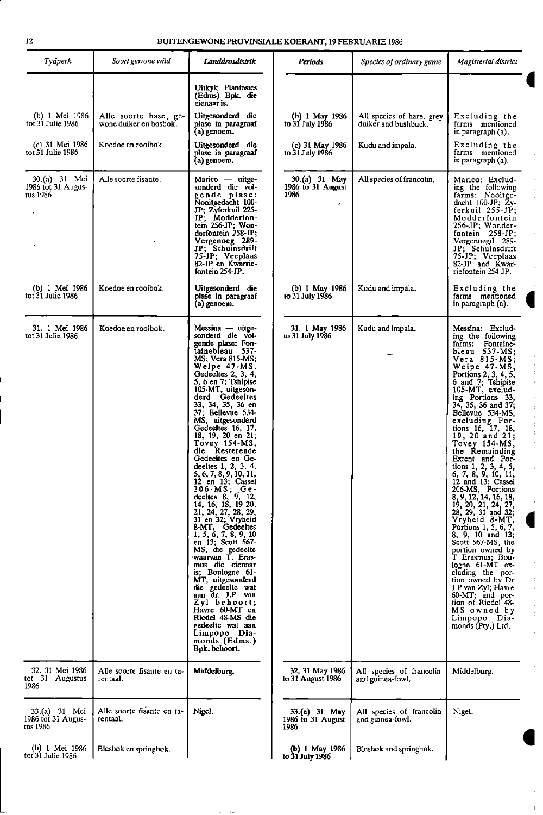| Tydperk                                         | Soort gewone wild                               | Landdrosdistrik                                                                                                                                                                                                                                                                                                                                                                                                                                                                                                                                                                                                                                                                                                                                                                                                                                                                         | Periods                                    | Species of ordinary game                          | Magisterial district                                                                                                                                                                                                                                                                                                                                                                                                                                                                                                                                                                                                                                                                                                                                                                                                             |
|-------------------------------------------------|-------------------------------------------------|-----------------------------------------------------------------------------------------------------------------------------------------------------------------------------------------------------------------------------------------------------------------------------------------------------------------------------------------------------------------------------------------------------------------------------------------------------------------------------------------------------------------------------------------------------------------------------------------------------------------------------------------------------------------------------------------------------------------------------------------------------------------------------------------------------------------------------------------------------------------------------------------|--------------------------------------------|---------------------------------------------------|----------------------------------------------------------------------------------------------------------------------------------------------------------------------------------------------------------------------------------------------------------------------------------------------------------------------------------------------------------------------------------------------------------------------------------------------------------------------------------------------------------------------------------------------------------------------------------------------------------------------------------------------------------------------------------------------------------------------------------------------------------------------------------------------------------------------------------|
|                                                 |                                                 | <b>Uitkyk Plantasies</b><br>(Edms) Bpk. die<br>eienaar is.                                                                                                                                                                                                                                                                                                                                                                                                                                                                                                                                                                                                                                                                                                                                                                                                                              |                                            |                                                   |                                                                                                                                                                                                                                                                                                                                                                                                                                                                                                                                                                                                                                                                                                                                                                                                                                  |
| (b) 1 Mei 1986<br>tot 31 Julie 1986             | Alle soorte hase, ge-<br>wone duiker en bosbok. | Uitgesonderd die<br>plase in paragraaf<br>(a) genoem.                                                                                                                                                                                                                                                                                                                                                                                                                                                                                                                                                                                                                                                                                                                                                                                                                                   | (b) 1 May 1986<br>to 31 July 1986          | All species of hare, grey<br>duiker and bushbuck. | Excluding the<br>farms mentioned<br>in paragraph (a).                                                                                                                                                                                                                                                                                                                                                                                                                                                                                                                                                                                                                                                                                                                                                                            |
| (c) 31 Mei 1986<br>tot 31 Julie 1986            | Koedoe en rooibok.                              | Uitgesonderd die<br>plase in paragraaf<br>(a) genoem.                                                                                                                                                                                                                                                                                                                                                                                                                                                                                                                                                                                                                                                                                                                                                                                                                                   | (c) 31 May 1986<br>to 31 July 1986         | Kudu and impala.                                  | Excluding the<br>farms mentioned<br>in paragraph (a).                                                                                                                                                                                                                                                                                                                                                                                                                                                                                                                                                                                                                                                                                                                                                                            |
| 30.(a) 31 Mei<br>1986 tot 31 Augus-<br>tus 1986 | Alle soorte fisante.                            | $M$ arico — uitge-<br>sonderd die vol-<br>gende plase:<br>Nooitgedacht 100-<br>JP: Zyferkuil 225-<br>JP; Modderfon-<br>tein $256$ -JP; Won-<br>derfontein 258-JP;<br>Vergenoeg 289-<br>JP; Schuinsdrift<br>75-JP; Veeplaas<br>82-JP en Kwarrie-<br>fontein 254-JP.                                                                                                                                                                                                                                                                                                                                                                                                                                                                                                                                                                                                                      | 30.(a) 31 May<br>1986 to 31 August<br>1986 | All species of francolin.                         | Marico: Exclud-<br>ing the following<br>farms: Nooitge-<br>dacht 100-JP; Zy-<br>$ferkuil$ $255-JP$ ;<br>Modderfontein<br>256-JP; Wonder-<br>fontein $258-JP$ ;<br>Vergenoegd 289-<br>JP; Schuinsdrift<br>75-JP; Veeplaas<br>82-JP and Kwar-<br>riefontein 254 JP.                                                                                                                                                                                                                                                                                                                                                                                                                                                                                                                                                                |
| (b) 1 Mei 1986<br>tot 31 Julie 1986             | Koedoe en rooibok.                              | Uitgesonderd die<br>plase in paragraaf<br>(a) genoem.                                                                                                                                                                                                                                                                                                                                                                                                                                                                                                                                                                                                                                                                                                                                                                                                                                   | (b) 1 May 1986<br>to 31 July 1986          | Kudu and impala.                                  | Excluding the<br>farms mentioned<br>in paragraph (a).                                                                                                                                                                                                                                                                                                                                                                                                                                                                                                                                                                                                                                                                                                                                                                            |
| 31. 1 Mei 1986<br>tot 31 Julie 1986             | Koedoe en rooibok.                              | Messina - uitge-<br>sonderd die vol-<br>gende plase: Fon-<br>tainebleau 537-<br>MS; Vera 815-MS;<br>Weipe 47-MS.<br>Gedecites 2, 3, 4,<br>5, 6 en 7; Tshipise<br>105-MT, uitgeson-<br>derd Gedeeltes<br>33, 34, 35, 36 en<br>37; Bellevue 534-<br>MS, uitgesonderd<br>Gedeeltes 16, 17,<br>18, 19, 20 en 21;<br>Tovey 154-MS,<br>die Resterende<br>Gedeeltes en Ge-<br>deeltes 1, 2, 3, 4,<br>5, 6, 7, 8, 9, 10, 11,<br>12 en 13; Cassel<br>$206 - MS$ ; Ge-<br>deeltes 8, 9, 12, 14, 16, 18, 19 20,<br>21, 24, 27, 28, 29,<br>31 en 32; Vryheid<br>8-MT, Gedeeltes<br>1, 5, 6, 7, 8, 9, 10<br>en 13; Scott 567-<br>MS, die gedeelte<br>waarvan T. Eras-<br>mus die eienaar<br>is; Boulogne 61-<br>MT, uitgesonderd<br>die gedeelte wat<br>aan dr. J.P. van<br>Zyl behoort;<br>Havre 60-MT en<br>Riedel 48-MS die<br>gedeelte wat aan<br>Limpopo Dia-<br>monds (Edms.)<br>Bpk. behoort. | 31. 1 May 1986<br>to 31 July 1986          | Kudu and impala.                                  | Messina: Exclud-<br>ing the following<br>farms: Fontaine-<br>bleau 537-MS;<br>Vera 815-MS;<br>Weipe 47-MS,<br>Portions 2, 3, 4, 5,<br>6 and 7; Tshipise<br>105 MT, exclud-<br>ing Portions 33,<br>34, 35, 36 and 37;<br>Bellevue 534-MS,<br>excluding Por-<br>tions 16, 17, 18,<br>19, 20 and 21;<br>Tovey 154-MS,<br>the Remainding<br>Extent and Por-<br>tions 1, 2, 3, 4, 5,<br>6, 7, 8, 9, 10, 11,<br>12 and 13; Cassel<br>206-MS, Portions<br>8, 9, 12, 14, 16, 18,<br>19, 20, 21, 24, 27,<br>28, 29, 31 and 32;<br>Vryheid 8-MT,<br>Portions 1, 5, 6, 7,<br>8, 9, 10 and 13;<br>Scott 567-MS, the<br>portion owned by<br>T Erasmus: Bou-<br>$logne$ 61-MT $ex-$<br>cluding the por-<br>tion owned by Dr<br>J P van Zyl; Havre<br>60-MT, and por-<br>tion of Riedel 48-<br>MS owned by<br>Limpopo Dia-<br>monds (Pty.) Ltd. |
| 32. 31 Mei 1986<br>tot 31 Augustus<br>1986      | Alle soorte fisante en ta-<br>rentaal.          | Middelburg.                                                                                                                                                                                                                                                                                                                                                                                                                                                                                                                                                                                                                                                                                                                                                                                                                                                                             | 32. 31 May 1986<br>to 31 August 1986       | All species of francolin<br>and guinea-fowl.      | Middelburg.                                                                                                                                                                                                                                                                                                                                                                                                                                                                                                                                                                                                                                                                                                                                                                                                                      |
| 33.(a) 31 Mei<br>1986 tot 31 Augus-<br>tus 1986 | Alle soorte fisante en ta-<br>rentaal.          | Nigel.                                                                                                                                                                                                                                                                                                                                                                                                                                                                                                                                                                                                                                                                                                                                                                                                                                                                                  | 33.(a) 31 May<br>1986 to 31 August<br>1986 | All species of francolin<br>and guinea-fowl.      | Nigel.                                                                                                                                                                                                                                                                                                                                                                                                                                                                                                                                                                                                                                                                                                                                                                                                                           |
| (b) 1 Mei 1986<br>tot 31 Julie 1986             | Blesbok en springbok.                           |                                                                                                                                                                                                                                                                                                                                                                                                                                                                                                                                                                                                                                                                                                                                                                                                                                                                                         | (b) 1 May 1986<br>to 31 July 1986          | Blesbok and springbok.                            |                                                                                                                                                                                                                                                                                                                                                                                                                                                                                                                                                                                                                                                                                                                                                                                                                                  |

 $\ddot{\phantom{a}}$ 

1

 $\hat{\mathbf{r}}$ 

 $\hat{\mathcal{F}}$  $\begin{array}{c} 1 \\ 1 \\ 2 \end{array}$ 

 $\hat{\boldsymbol{\theta}}$  $\hat{\boldsymbol{\theta}}$  $\bar{1}$  $\hat{\boldsymbol{\theta}}$  $\bar{1}$  $\frac{1}{4}$  $\hat{\boldsymbol{\theta}}$ 

 $\frac{1}{2}$ 

 $\hat{\boldsymbol{\theta}}$  $\frac{1}{2}$  $\hat{\boldsymbol{\gamma}}$ 

 $\frac{1}{2}$  $\frac{1}{2}$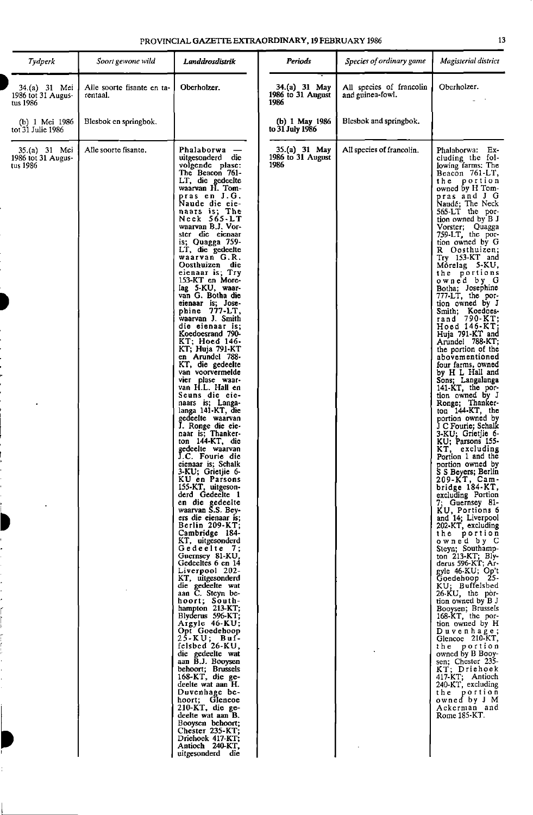| PROVINCIAL <b>GAZETTE EXTRAORDINARY, 19 FEBR</b> UARY 1986 |  |
|------------------------------------------------------------|--|
|------------------------------------------------------------|--|

| Tydperk                                         | Soort gewone wild                      | Landdrosdistrik                                                                                                                                                                                                                                                                                                                                                                                                                                                                                                                                                                                                                                                                                                                                                                                                                                                                                                                                                                                                                                                                                                                                                                                                                                                                                                                                                                                                                                                                                                                                                                                                     | Periods                                    | Species of ordinary game                     | Magisterial district                                                                                                                                                                                                                                                                                                                                                                                                                                                                                                                                                                                                                                                                                                                                                                                                                                                                                                                                                                                                                                                                                                                                                                                                                                                                                                                                                                                                                                                |
|-------------------------------------------------|----------------------------------------|---------------------------------------------------------------------------------------------------------------------------------------------------------------------------------------------------------------------------------------------------------------------------------------------------------------------------------------------------------------------------------------------------------------------------------------------------------------------------------------------------------------------------------------------------------------------------------------------------------------------------------------------------------------------------------------------------------------------------------------------------------------------------------------------------------------------------------------------------------------------------------------------------------------------------------------------------------------------------------------------------------------------------------------------------------------------------------------------------------------------------------------------------------------------------------------------------------------------------------------------------------------------------------------------------------------------------------------------------------------------------------------------------------------------------------------------------------------------------------------------------------------------------------------------------------------------------------------------------------------------|--------------------------------------------|----------------------------------------------|---------------------------------------------------------------------------------------------------------------------------------------------------------------------------------------------------------------------------------------------------------------------------------------------------------------------------------------------------------------------------------------------------------------------------------------------------------------------------------------------------------------------------------------------------------------------------------------------------------------------------------------------------------------------------------------------------------------------------------------------------------------------------------------------------------------------------------------------------------------------------------------------------------------------------------------------------------------------------------------------------------------------------------------------------------------------------------------------------------------------------------------------------------------------------------------------------------------------------------------------------------------------------------------------------------------------------------------------------------------------------------------------------------------------------------------------------------------------|
| 34.(a) 31 Mei<br>1986 tot 31 Augus-<br>tus 1986 | Alle soorte fisante en ta-<br>rentaal. | Oberholzer.                                                                                                                                                                                                                                                                                                                                                                                                                                                                                                                                                                                                                                                                                                                                                                                                                                                                                                                                                                                                                                                                                                                                                                                                                                                                                                                                                                                                                                                                                                                                                                                                         | 34.(a) 31 May<br>1986 to 31 August<br>1986 | All species of francolin<br>and guinea-fowl. | Oberholzer.                                                                                                                                                                                                                                                                                                                                                                                                                                                                                                                                                                                                                                                                                                                                                                                                                                                                                                                                                                                                                                                                                                                                                                                                                                                                                                                                                                                                                                                         |
| (b) 1 Mei 1986<br>tot 31 Julie 1986             | Blesbok en springbok.                  |                                                                                                                                                                                                                                                                                                                                                                                                                                                                                                                                                                                                                                                                                                                                                                                                                                                                                                                                                                                                                                                                                                                                                                                                                                                                                                                                                                                                                                                                                                                                                                                                                     | (b) 1 May 1986<br>to 31 July 1986          | Blesbok and springbok.                       |                                                                                                                                                                                                                                                                                                                                                                                                                                                                                                                                                                                                                                                                                                                                                                                                                                                                                                                                                                                                                                                                                                                                                                                                                                                                                                                                                                                                                                                                     |
| 35.(a) 31 Mei<br>1986 tot 31 Augus-<br>tus 1986 | Alle soorte fisante.                   | Phalaborwa -<br>uiteesonderd die<br>volgende plase:<br>The Beacon 761-<br>LT, die gedeelte<br>waarvan H. Tom-<br>pras en J.G.<br>Naude die eie-<br>naars is; The<br>Neck 565-LT<br>waarvan B.J. Vor-<br>ster die eienaar<br>is; Quagga $759$ -<br>LT, die gedeelte<br>waarvan G.R.<br>Oosthuizen die<br>eienaar is; Try<br>153-KT en More-<br>lag 5-KU, waar-<br>van G. Botha die<br>eienaar is: Jose-<br>phine 777-LT,<br>waarvan J. Smith<br>die eienaar is:<br>Koedoesrand 790-<br>KT; Hoed 146-<br>KT; Huja 791-KT<br>en Arundel 788-<br>KT, die gedeelte<br>van voorvermelde<br>vier plase waar-<br>van H.L. Hall en<br>Seuns die eie-<br>naars is; Langa-<br>langa 141-KT, die<br>gedeelte waarvan<br>J. Ronge die eie-<br>naar is; Thanker-<br>ton $144-KT$ , die<br>gedeelte waarvan<br>J.C. Fourie die<br>eienaar is: Schalk<br>3-KU; Grietjie 6-<br>KU en Parsons<br>155-KT, uitgeson-<br>derd Gedeelte 1<br>en die gedeelte<br>waarvan S.S. Bey-<br>ers die eienaar is;<br>Berlin $209 \text{-} KT;$<br>Cambridge 184-<br>KT, uitgesonderd<br>Gedeelte 7;<br>Guernsey 81-KU.<br>Gedeeltes 6 en 14<br>Liverpool 202-<br>KT, uitgesonderd<br>die gedeelte wat<br>aan C. Steyn be-<br>hoort; South-<br>hampton $213-KT$ :<br>Blyderus 596-KT;<br>Argyle 46-KU;<br>Opt Goedehoop<br>$25-KU$ ; Buf-<br>felsbed 26-KU,<br>die gedeelte wat<br>aan B.J. Booysen<br>behoort; Brussels<br>$168$ -KT, die ge-<br>deelte wat aan H.<br>Duvenhage be-<br>hoort; Glencoe<br>$210-KT$ , die ge-<br>deelte wat aan B.<br>Booysen behoort;<br>Chester 235-KT;<br>Driehoek 417-KT;<br>Antioch 240-KT,<br>uitgesonderd die | 35.(a) 31 May<br>1986 to 31 August<br>1986 | All species of francolin.                    | Phalaborwa: Ex-<br>cluding the fol-<br>lowing farms: The<br>Beacon 761-LT,<br>the portion<br>owned by H Tom-<br>pras and J G<br>Naudé; The Neck<br>565-LT the por-<br>tion owned by B J<br>Vorster; Quagga<br>759-LT, the por-<br>tion owned by G<br>R Oosthuizen;<br>$Try$ 153- $KT$ and<br>Môrelag 5-KU,<br>the portions<br>owned by G<br>Botha; Josephine<br>777-LT, the por-<br>tion owned by J<br>Smith; Koedoes-<br>rand 790-KT:<br>Hoed $146 - KT$<br>Huja 791-KT and<br>Arundel 788-KT;<br>the portion of the<br>abovementioned<br>four farms, owned<br>by H L Hall and<br>Sons; Langalanga<br>141-KT, the por-<br>tion owned by J<br>Ronge; Thanker-<br>ton $144 - KT$ , the<br>portion owned by<br>J C Fourie: Schalk<br>3-KU, Grietjie 6-<br>KU; Parsons 155-<br>KT, excluding<br>Portion 1 and the<br>portion owned by<br>S S Bevers: Berlin<br>209-KT, Cam-<br>bridge 184-KT,<br>excluding Portion<br>7; Guernsey 81-<br>KU, Portions 6<br>and 14; Liverpool<br>202-KT, excluding<br>the portion<br>owned by C<br>Steyn: Southamp-<br>ton 213-KT; Bly-<br>derus 596-KT; Ar-<br>gyle 46-KU; Op't<br>Goedehoop 25-<br>KU; Buffelsbed<br>26-KU, the por-<br>tion owned by B J<br>Booysen; Brussels<br>168-KT, the por-<br>tion owned by H<br>Duvenhage;<br>Glencoe 210-KT,<br>the portion<br>owned by B Booy-<br>sen; Chester 235-<br>KT; Driehoek<br>417-KT; Antioch<br>240-KT, excluding<br>the portion<br>owned by J M<br>Ackerman and<br>Rome 185-KT. |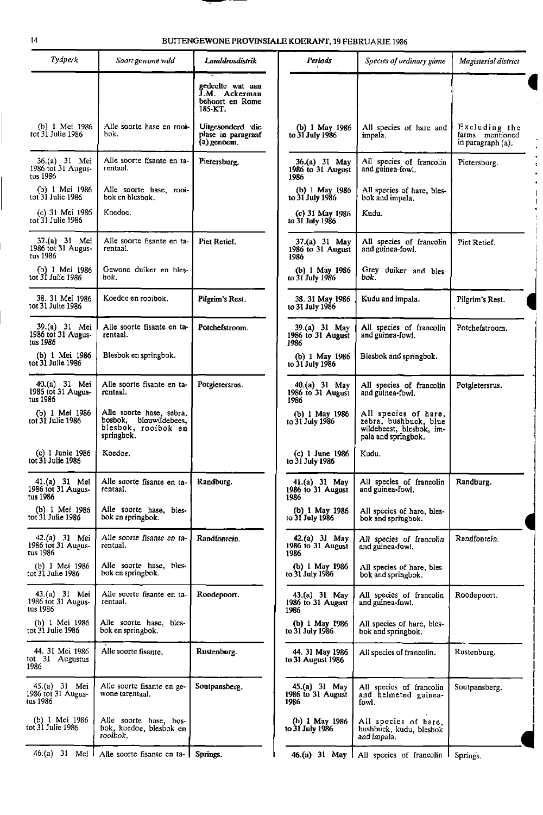## 14 BUITENGEWONE PROVINSIALE KOERANT, 19 FEBRUARIE 1986

-- -- -

| Tydperk                                         | Soort gewone wild                                                                       | Landdrosdistrik                                                 | Periods                                      | Species of ordinary game                                                                         | Magisterial district                                  |
|-------------------------------------------------|-----------------------------------------------------------------------------------------|-----------------------------------------------------------------|----------------------------------------------|--------------------------------------------------------------------------------------------------|-------------------------------------------------------|
|                                                 |                                                                                         | gedeelte wat aan<br>J.M. Ackerman<br>behoort en Rome<br>185-KT. |                                              |                                                                                                  |                                                       |
| (b) 1 Mei 1986<br>tot 31 Julie 1986             | Alle soorte hase en rooi-<br>bok.                                                       | Uitgesonderd die<br>plase in paragraaf<br>(a) genoem.           | (b) 1 May 1986<br>to 31 July 1986            | All species of hare and<br>impala.                                                               | Excluding the<br>farms mentioned<br>in paragraph (a). |
| 36.(a) 31 Mei<br>1986 tot 31 Augus-<br>tus 1986 | Alle soorte fisante en ta-<br>rentaal.                                                  | Pietersburg.                                                    | 36.(a) 31 May<br>1986 to 31 August<br>1986   | All species of francolin<br>and guinea fowl.                                                     | Pietersburg.                                          |
| (b) 1 Mei 1986<br>tot 31 Julie 1986             | Alle soorte hase, rooi-<br>bok en blesbok.                                              |                                                                 | (b) 1 May 1986<br>to 31 July 1986            | All species of hare, bles-<br>bok and impala.                                                    |                                                       |
| (c) 31 Mei 1986<br>tot 31 Julie 1986            | Koedoe.                                                                                 |                                                                 | (c) 31 May 1986<br>to 31 July 1986           | Kudu.                                                                                            |                                                       |
| 37.(a) 31 Mei<br>1986 tot 31 Augus-<br>tus 1986 | Alle soorte fisante en ta-<br>rentaal.                                                  | Piet Retief.                                                    | 37.(a) 31 May<br>1986 to 31 August<br>1986   | All species of francolin<br>and guinea-fowl.                                                     | Pict Retief.                                          |
| (b) 1 Mei 1986<br>tot 31 Julie 1986             | Gewone duiker en bles-<br>bok.                                                          |                                                                 | (b) 1 May 1986<br>to 31 July 1986            | Grey duiker and bles-<br>bok.                                                                    |                                                       |
| 38. 31 Mei 1986<br>tot 31 Julie 1986            | Koedoc en rooibok.                                                                      | Pilgrim's Rest.                                                 | 38. 31 May 1986<br>to 31 July 1986           | Kudu and impala.                                                                                 | Pilgrim's Rest.                                       |
| 39.(a) 31 Mei<br>1986 tot 31 Augus-<br>tus 1986 | Alle soorte fisante en ta-<br>rentaal.                                                  | Potchefstroom.                                                  | 39.(a) 31 May<br>1986 to 31 August<br>1986   | All species of francolin<br>and guinea-towl.                                                     | Potchefstroom.                                        |
| (b) 1 Mei 1986<br>tot 31 Julie 1986             | Blesbok en springbok.                                                                   |                                                                 | (b) 1 May 1986<br>to 31 July 1986            | Blesbok and springbok.                                                                           |                                                       |
| 40.(a) 31 Mei<br>1986 tot 31 Augus-<br>tus 1986 | Alle soorte fisante en ta-<br>rentaal.                                                  | Potgietersrus.                                                  | 40.(a) 31 May<br>1986 to 31 August<br>1986   | All species of francolin<br>and guinea-fowl.                                                     | Potgietersrus.                                        |
| (b) 1 Mei 1986<br>tot $31$ Julie 1986           | Alle soorte hase, sebra,<br>bosbok, blouwildebees,<br>blesbok, rooibok en<br>springbok. |                                                                 | (b) $1$ May 1986<br>to 31 July 1986          | All species of hare,<br>zebra, bushbuck, blue<br>wildebeest, blesbok, im-<br>pala and springbok. |                                                       |
| (c) 1 Junie 1986<br>tot 31 Julie 1986           | Koedoe,                                                                                 |                                                                 | $(c)$ 1 June 1986<br>to 31 July 1986         | Kudu.                                                                                            |                                                       |
| 41.(a) 31 Mei<br>1986 tot 31 Augus-<br>tus 1986 | Alle soorte fisante en ta-<br>rentaal.                                                  | Randburg.                                                       | 41.(a) 31 May<br>1986 to 31 August<br>1986   | All species of francolin<br>and guinea-fowl.                                                     | Randburg.                                             |
| (b) 1 Mei 1986<br>tot 31 Julie 1986             | Alle soorte hase, bles-<br>bok en springbok.                                            |                                                                 | (b) 1 May 1986<br>to 31 July 1986            | All species of hare, bles-<br>bok and springbok.                                                 |                                                       |
| 42.(a) 31 Mei<br>1986 tot 31 Augus-<br>tus 1986 | Alle soorte fisante en ta-<br>rentaal.                                                  | Randfontein.                                                    | 42.(a) 31 May<br>1986 to 31 August<br>1986   | All species of francolin<br>and guinea-fowl.                                                     | Randfontein.                                          |
| (b) 1 Mei 1986<br>tot 31 Julie 1986             | Alle soorte hase, bles-<br>bok en springbok.                                            |                                                                 | (b) I May 1986<br>to 31 July 1986            | All species of hare, bles-<br>bok and springbok.                                                 |                                                       |
| 43.(a) 31 Mei<br>1986 tot 31 Augus-<br>tus 1986 | Alle soorte fisante en ta-<br>rentaal.                                                  | Roodepoort.                                                     | $43.(a) 31$ May<br>1986 to 31 August<br>1986 | All species of francolin<br>and guinea-fowl.                                                     | Roodepoort.                                           |
| (b) 1 Mei 1986<br>tot 31 Julie 1986             | Alle soorte hase, bles-<br>bok en springbok.                                            |                                                                 | (b) 1 May 1986<br>to 31 July 1986            | All species of hare, bles-<br>bok and springbok.                                                 |                                                       |
| 44. 31 Mei 1986<br>tot 31 Augustus<br>1986      | Alle soorte fisante.                                                                    | Rustenburg.                                                     | 44. 31 May 1986<br>to 31 August 1986         | All species of francolin.                                                                        | Rustenburg.                                           |
| 45 (a) 31 Mei<br>1986 tot 31 Augus-<br>tus 1986 | Alle soorte fisante en ge-<br>wone tarentaal.                                           | Soutpansberg.                                                   | 45.(a) 31 May<br>1986 to 31 August<br>1986   | All species of francolin<br>and helmeted guinea-<br>fowl.                                        | Soutpansberg.                                         |
| (b) 1 Mei 1986<br>tot 31 Julie 1986             | Alle soorte hase, bos-<br>bok, koedoe, blesbok en<br>rooibok.                           |                                                                 | (b) 1 May 1986<br>to 31 July 1986            | All species of hare,<br>bushbuck, kudu, blesbok<br>and impala.                                   |                                                       |
|                                                 | 46.(a) 31 Mei   Alle soorte fisante en ta-   Springs.                                   |                                                                 |                                              | 46.(a) 31 May   All species of francolin                                                         | Springs.                                              |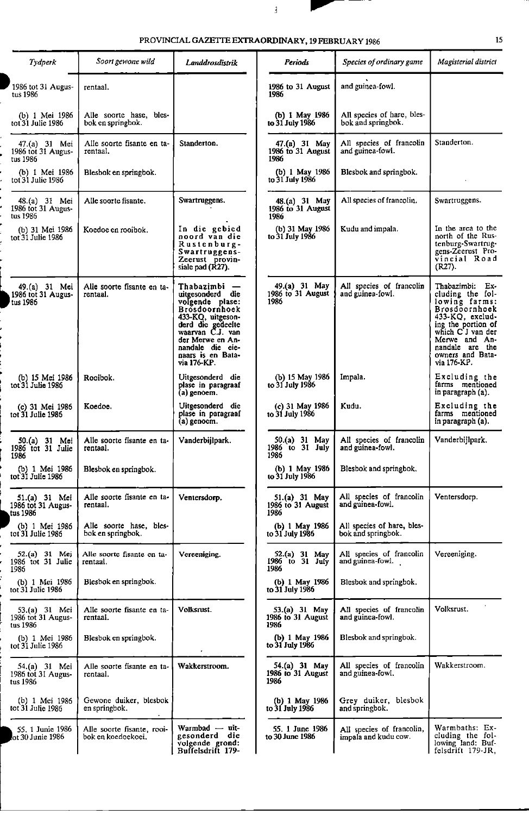$\blacksquare$ 

| <i>Tydperk</i>                                  | Soort gewone wild                                | Landdrosdistrik                                                                                                                                                                                                     | Periods                                      | Species of ordinary game                          | Magisterial district                                                                                                                                                                                          |
|-------------------------------------------------|--------------------------------------------------|---------------------------------------------------------------------------------------------------------------------------------------------------------------------------------------------------------------------|----------------------------------------------|---------------------------------------------------|---------------------------------------------------------------------------------------------------------------------------------------------------------------------------------------------------------------|
| 1986 tot 31 Augus-<br>tus 1986                  | rentaal.                                         |                                                                                                                                                                                                                     | 1986 to 31 August<br>1986                    | and guinea-fowl.                                  |                                                                                                                                                                                                               |
| (b) 1 Mei 1986<br>tot 31 Julie 1986             | Alle soorte hase, bles-<br>bok en springbok.     |                                                                                                                                                                                                                     | (b) 1 May 1986<br>to 31 July 1986            | All species of hare, bles-<br>bok and springbok.  |                                                                                                                                                                                                               |
| 47.(a) 31 Mei<br>1986 tot 31 Augus-<br>tus 1986 | Alle soorte fisante en ta-<br>rentaal.           | Standerton.                                                                                                                                                                                                         | 47.(a) 31 May<br>1986 to 31 August<br>1986   | All species of francolin<br>and guinea-fowl.      | Standerton.                                                                                                                                                                                                   |
| (b) 1 Mei 1986<br>tot 31 Julie 1986             | Blesbok en springbok.                            |                                                                                                                                                                                                                     | (b) $1$ May 1986<br>to 31 July 1986          | Blesbok and springbok.                            |                                                                                                                                                                                                               |
| 48.(a) 31 Mei<br>1986 tot 31 Augus-<br>tus 1986 | Alle soorte fisante.                             | Swartruggens.                                                                                                                                                                                                       | 48.(a) 31 May<br>1986 to 31 August<br>1986   | All species of francolin.                         | Swartruggens.                                                                                                                                                                                                 |
| (b) 31 Mei 1986<br>tot 31 Julie 1986            | Koedoe en rooibok.                               | In die gebied<br>noord van die<br>Rustenburg-<br>Swartruggens-<br>Zeerust provin-<br>siale pad (R27).                                                                                                               | (b) 31 May 1986<br>to 31 July 1986           | Kudu and impala.                                  | In the area to the<br>north of the Rus-<br>tenburg-Swartrug-<br>gens-Zeerust Pro-<br>vincial Road<br>$(R27)$ .                                                                                                |
| 49.(a) 31 Mei<br>1986 tot 31 Augus-<br>tus 1986 | Alle soorte fisante en ta-<br>rentaal.           | Thabazimbi<br>uitgesonderd die<br>volgende plase:<br><b>Brosdoornhoek</b><br>433-KQ, uitgeson-<br>derd die gedeelte<br>waarvan C.J. van<br>der Merwe en An-<br>nandale die eie-<br>naars is en Bata-<br>via 176-KP. | 49.(a) 31 May<br>1986 to 31 August<br>1986   | All species of francolin<br>and guinea-fowl.      | Thabazimbi:<br>Ex-<br>cluding the fol-<br>lowing farms:<br>Brosdoornhock<br>433-KQ, exclud-<br>ing the portion of<br>which C J van der<br>Merwe and An-<br>nandale are the<br>owners and Bata-<br>via 176-KP. |
| (b) 15 Mei 1986<br>tot 31 Julie 1986            | Rooibok.                                         | Uitgesonderd die<br>plase in paragraaf<br>(a) genoem.                                                                                                                                                               | (b) 15 May 1986<br>to 31 July 1986           | Impala.                                           | Excluding the<br>farms mentioned<br>in paragraph (a).                                                                                                                                                         |
| (c) 31 Mei 1986<br>tot 31 Julie 1986            | Koedoe.                                          | Uitgesonderd die<br>plase in paragraaf<br>(a) genoem.                                                                                                                                                               | (c) 31 May 1986<br>to 31 July 1986           | Kudu.                                             | Excluding the<br>farms mentioned<br>in paragraph (a).                                                                                                                                                         |
| 50.(a) 31 Mei<br>1986 tot 31 Julie<br>1986      | Alle soorte fisante en ta-<br>rentaal.           | Vanderbijlpark.                                                                                                                                                                                                     | 50.(a) 31 May<br>1986 to 31 July<br>1986     | All species of francolin<br>and guinea-fowl.      | Vanderbijlpark.                                                                                                                                                                                               |
| tot 31 Julie 1986                               | (b) 1 Mei 1986   Blesbok en springbok.           |                                                                                                                                                                                                                     | (b) 1 May 1986<br>to 31 July 1986            | Blesbok and springbok.                            |                                                                                                                                                                                                               |
| 51.(a) 31 Mei<br>1986 tot 31 Augus-<br>tus 1986 | Alle soorte fisante en ta-<br>rentaal.           | Ventersdorp.                                                                                                                                                                                                        | 51.(a) 31 May<br>1986 to 31 August<br>1986   | All species of francolin<br>and guinea-fowl.      | Ventersdorp.                                                                                                                                                                                                  |
| (b) 1 Mei 1986<br>tot $31$ Julie $1986$         | Alle soorte hase, bles-<br>bok en springbok.     |                                                                                                                                                                                                                     | (b) 1 May 1986<br>to 31 July 1986            | All species of hare, bles-<br>bok and springbok.  |                                                                                                                                                                                                               |
| 52.(a) 31 Mei<br>1986 tot 31 Julie<br>1986      | Alle soorte fisante en ta-<br>rentaal.           | Vereeniging.                                                                                                                                                                                                        | 52.(a) 31 May<br>$1986$ to $31$ July<br>1986 | All species of francolin<br>and guinea-fowl.      | Vereeniging.                                                                                                                                                                                                  |
| (b) 1 Mei 1986<br>tot 31 Julie 1986             | Blesbok en springbok.                            |                                                                                                                                                                                                                     | (b) 1 May 1986<br>to 31 July 1986            | Blesbok and springbok.                            |                                                                                                                                                                                                               |
| 53.(a) 31 Mei<br>1986 tot 31 Augus-<br>tus 1986 | Alle soorte fisante en ta-<br>rentaal.           | Volksrust.                                                                                                                                                                                                          | 53.(a) 31 May<br>1986 to 31 August<br>1986   | All species of francolin<br>and guinea-fowl.      | Volksrust.                                                                                                                                                                                                    |
| (b) 1 Mei 1986<br>tot 31 Julie 1986             | Blesbok en springbok.                            |                                                                                                                                                                                                                     | (b) 1 May 1986<br>to 31 July 1986            | Blesbok and springbok.                            |                                                                                                                                                                                                               |
| 54.(a) 31 Mei<br>1986 tot 31 Augus-<br>tus 1986 | Alle soorte fisante en ta-<br>rentaal.           | Wakkerstroom.                                                                                                                                                                                                       | 54 (a) 31 May<br>1986 to 31 August<br>1986   | All species of francolin<br>and guinea-fowl.      | Wakkerstroom.                                                                                                                                                                                                 |
| (b) 1 Mei 1986<br>tot 31 Julie 1986             | Gewone duiker, blesbok<br>en springbok.          |                                                                                                                                                                                                                     | (b) 1 May 1986<br>to 31 July 1986            | Grey duiker, blesbok<br>and springbok.            |                                                                                                                                                                                                               |
| 55, 1 Junie 1986<br>ot 30 Junie 1986            | Alle soorte fisante, rooi-<br>bok en koedoekoei. | Warmbad — uit-<br>gesonderd die<br>volgende grond:<br>Buffelsdrift 179-                                                                                                                                             | 55. 1 June 1986<br>to 30 June 1986           | All species of francolin,<br>impala and kudu cow. | Warmbaths: Ex-<br>cluding the fol-<br>lowing land: Buf-<br>felsdrift 179-JR,                                                                                                                                  |